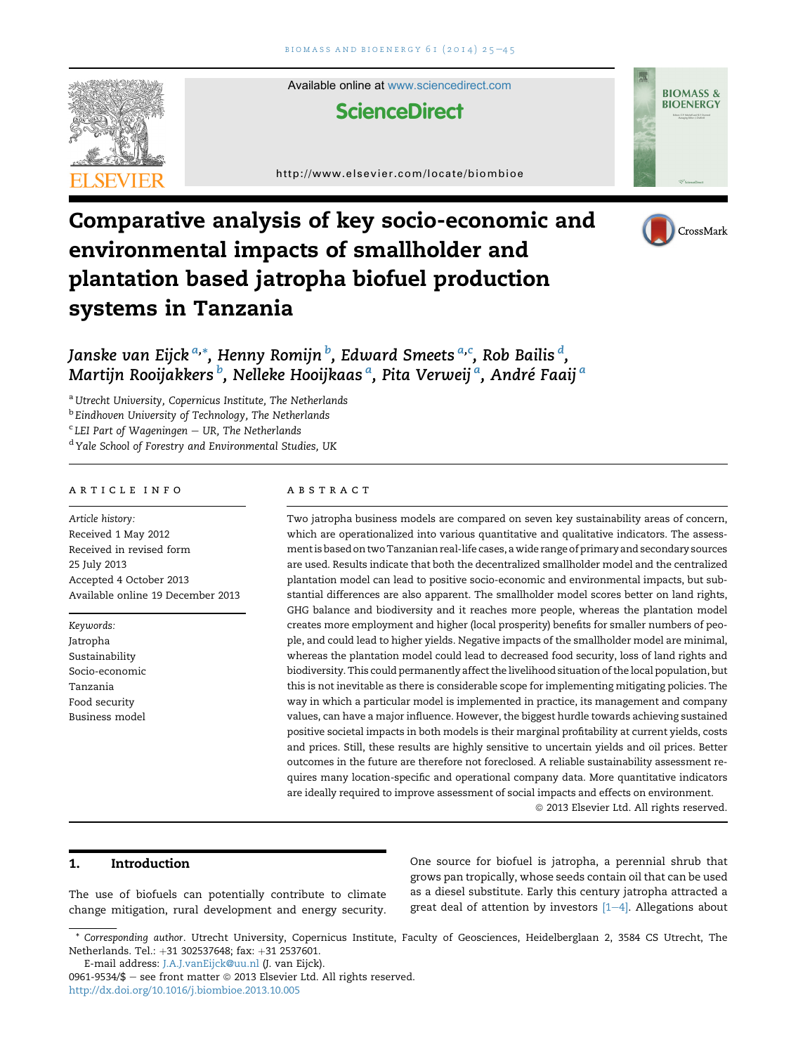

Available online at [www.sciencedirect.com](www.sciencedirect.com/science/journal/09619534)

## **ScienceDirect**

<http://www.elsevier.com/locate/biombioe>



**BIOMASS & BIOENERGY** 

# Comparative analysis of key socio-economic and environmental impacts of smallholder and plantation based jatropha biofuel production systems in Tanzania



## Janske van Eijck <sup>a,</sup>\*, Henny Romijn <sup>b</sup>, Edward Smeets <sup>a,c</sup>, Rob Bailis <sup>d</sup>, Martijn Rooijakkers <sup>b</sup>, Nelleke Hooijkaas <sup>a</sup>, Pita Verweij <sup>a</sup>, André Faaij <sup>a</sup>

a Utrecht University, Copernicus Institute, The Netherlands

**b** Eindhoven University of Technology, The Netherlands

 $c$  LEI Part of Wageningen  $-$  UR, The Netherlands

<sup>d</sup> Yale School of Forestry and Environmental Studies, UK

## article info

Article history: Received 1 May 2012 Received in revised form 25 July 2013 Accepted 4 October 2013 Available online 19 December 2013

Keywords: Jatropha Sustainability Socio-economic Tanzania Food security Business model

#### A B S T R A C T

Two jatropha business models are compared on seven key sustainability areas of concern, which are operationalized into various quantitative and qualitative indicators. The assessment is based on two Tanzanian real-life cases, a wide range of primary and secondary sources are used. Results indicate that both the decentralized smallholder model and the centralized plantation model can lead to positive socio-economic and environmental impacts, but substantial differences are also apparent. The smallholder model scores better on land rights, GHG balance and biodiversity and it reaches more people, whereas the plantation model creates more employment and higher (local prosperity) benefits for smaller numbers of people, and could lead to higher yields. Negative impacts of the smallholder model are minimal, whereas the plantation model could lead to decreased food security, loss of land rights and biodiversity. This could permanently affect the livelihood situation of the local population, but this is not inevitable as there is considerable scope for implementing mitigating policies. The way in which a particular model is implemented in practice, its management and company values, can have a major influence. However, the biggest hurdle towards achieving sustained positive societal impacts in both models is their marginal profitability at current yields, costs and prices. Still, these results are highly sensitive to uncertain yields and oil prices. Better outcomes in the future are therefore not foreclosed. A reliable sustainability assessment requires many location-specific and operational company data. More quantitative indicators are ideally required to improve assessment of social impacts and effects on environment.

<sup>©</sup> 2013 Elsevier Ltd. All rights reserved.

## 1. Introduction

The use of biofuels can potentially contribute to climate change mitigation, rural development and energy security.

One source for biofuel is jatropha, a perennial shrub that grows pan tropically, whose seeds contain oil that can be used as a diesel substitute. Early this century jatropha attracted a great deal of attention by investors  $[1-4]$  $[1-4]$  $[1-4]$ . Allegations about

E-mail address: [J.A.J.vanEijck@uu.nl](mailto:J.A.J.vanEijck@uu.nl) (J. van Eijck).

0961-9534/\$ - see front matter  $\odot$  2013 Elsevier Ltd. All rights reserved. <http://dx.doi.org/10.1016/j.biombioe.2013.10.005>

<sup>\*</sup> Corresponding author. Utrecht University, Copernicus Institute, Faculty of Geosciences, Heidelberglaan 2, 3584 CS Utrecht, The Netherlands. Tel.: +31 302537648; fax: +31 2537601.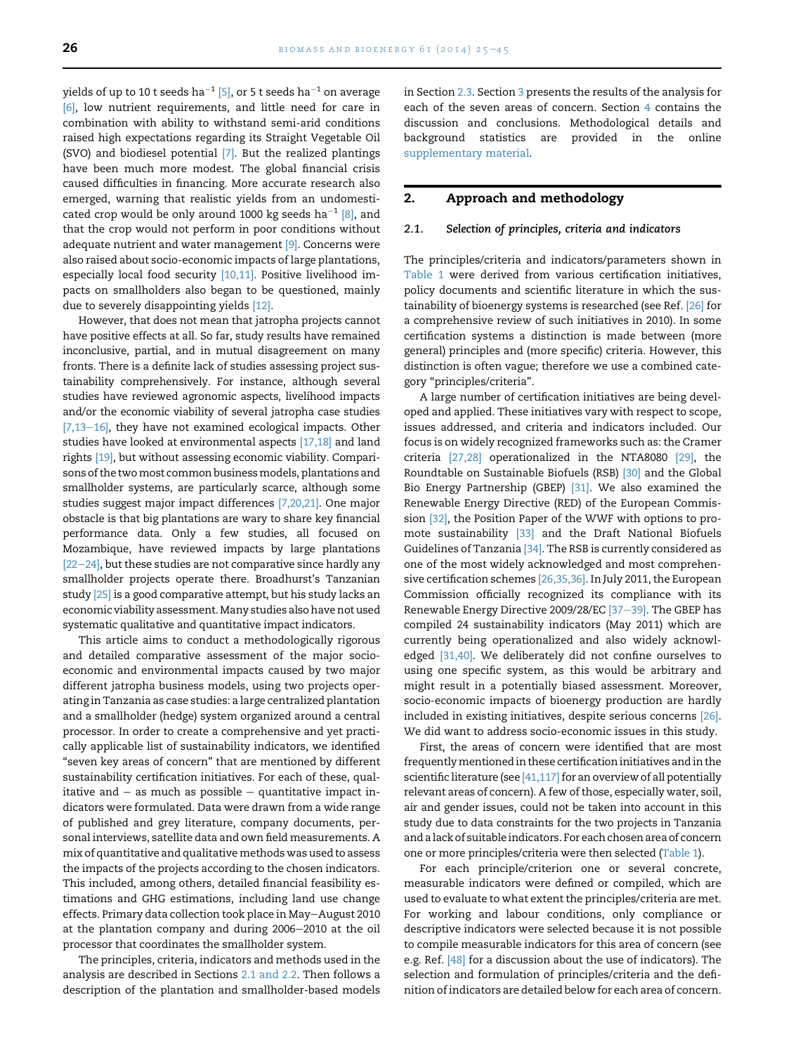yields of up to 10 t seeds ha $^{-1}$  [\[5\],](#page-17-0) or 5 t seeds ha $^{-1}$  on average [\[6\],](#page-17-0) low nutrient requirements, and little need for care in combination with ability to withstand semi-arid conditions raised high expectations regarding its Straight Vegetable Oil (SVO) and biodiesel potential [\[7\].](#page-17-0) But the realized plantings have been much more modest. The global financial crisis caused difficulties in financing. More accurate research also emerged, warning that realistic yields from an undomesticated crop would be only around 1000 kg seeds ha $^{-1}$  [\[8\],](#page-17-0) and that the crop would not perform in poor conditions without adequate nutrient and water management [\[9\]](#page-17-0). Concerns were also raised about socio-economic impacts of large plantations, especially local food security [\[10,11\]](#page-17-0). Positive livelihood impacts on smallholders also began to be questioned, mainly due to severely disappointing yields [\[12\].](#page-17-0)

However, that does not mean that jatropha projects cannot have positive effects at all. So far, study results have remained inconclusive, partial, and in mutual disagreement on many fronts. There is a definite lack of studies assessing project sustainability comprehensively. For instance, although several studies have reviewed agronomic aspects, livelihood impacts and/or the economic viability of several jatropha case studies  $[7,13-16]$  $[7,13-16]$ , they have not examined ecological impacts. Other studies have looked at environmental aspects [\[17,18\]](#page-17-0) and land rights [\[19\]](#page-17-0), but without assessing economic viability. Comparisons of the two most common business models, plantations and smallholder systems, are particularly scarce, although some studies suggest major impact differences [\[7,20,21\]](#page-17-0). One major obstacle is that big plantations are wary to share key financial performance data. Only a few studies, all focused on Mozambique, have reviewed impacts by large plantations  $[22-24]$  $[22-24]$  $[22-24]$ , but these studies are not comparative since hardly any smallholder projects operate there. Broadhurst's Tanzanian study [\[25\]](#page-18-0) is a good comparative attempt, but his study lacks an economic viability assessment.Many studies also have not used systematic qualitative and quantitative impact indicators.

This article aims to conduct a methodologically rigorous and detailed comparative assessment of the major socioeconomic and environmental impacts caused by two major different jatropha business models, using two projects operating in Tanzania as case studies: a large centralized plantation and a smallholder (hedge) system organized around a central processor. In order to create a comprehensive and yet practically applicable list of sustainability indicators, we identified "seven key areas of concern" that are mentioned by different sustainability certification initiatives. For each of these, qualitative and  $-$  as much as possible  $-$  quantitative impact indicators were formulated. Data were drawn from a wide range of published and grey literature, company documents, personal interviews, satellite data and own field measurements. A mix of quantitative and qualitativemethods was used to assess the impacts of the projects according to the chosen indicators. This included, among others, detailed financial feasibility estimations and GHG estimations, including land use change effects. Primary data collection took place in May-August 2010 at the plantation company and during 2006-2010 at the oil processor that coordinates the smallholder system.

The principles, criteria, indicators and methods used in the analysis are described in Sections 2.1 and 2.2. Then follows a description of the plantation and smallholder-based models in Section [2.3.](#page-4-0) Section [3](#page-6-0) presents the results of the analysis for each of the seven areas of concern. Section [4](#page-14-0) contains the discussion and conclusions. Methodological details and background statistics are provided in the online supplementary material.

## 2. Approach and methodology

#### 2.1. Selection of principles, criteria and indicators

The principles/criteria and indicators/parameters shown in [Table 1](#page-2-0) were derived from various certification initiatives, policy documents and scientific literature in which the sustainability of bioenergy systems is researched (see Ref. [\[26\]](#page-18-0) for a comprehensive review of such initiatives in 2010). In some certification systems a distinction is made between (more general) principles and (more specific) criteria. However, this distinction is often vague; therefore we use a combined category "principles/criteria".

A large number of certification initiatives are being developed and applied. These initiatives vary with respect to scope, issues addressed, and criteria and indicators included. Our focus is on widely recognized frameworks such as: the Cramer criteria [\[27,28\]](#page-18-0) operationalized in the NTA8080 [\[29\]](#page-18-0), the Roundtable on Sustainable Biofuels (RSB) [\[30\]](#page-18-0) and the Global Bio Energy Partnership (GBEP) [\[31\].](#page-18-0) We also examined the Renewable Energy Directive (RED) of the European Commission [\[32\]](#page-18-0), the Position Paper of the WWF with options to promote sustainability [\[33\]](#page-18-0) and the Draft National Biofuels Guidelines of Tanzania [\[34\]](#page-18-0). The RSB is currently considered as one of the most widely acknowledged and most comprehensive certification schemes [\[26,35,36\]](#page-18-0). In July 2011, the European Commission officially recognized its compliance with its Renewable Energy Directive 2009/28/EC  $[37-39]$  $[37-39]$ . The GBEP has compiled 24 sustainability indicators (May 2011) which are currently being operationalized and also widely acknowledged [\[31,40\]](#page-18-0). We deliberately did not confine ourselves to using one specific system, as this would be arbitrary and might result in a potentially biased assessment. Moreover, socio-economic impacts of bioenergy production are hardly included in existing initiatives, despite serious concerns [\[26\]](#page-18-0). We did want to address socio-economic issues in this study.

First, the areas of concern were identified that are most frequentlymentioned in these certification initiatives and in the scientific literature (see  $[41, 117]$  for an overview of all potentially relevant areas of concern). A few of those, especially water, soil, air and gender issues, could not be taken into account in this study due to data constraints for the two projects in Tanzania and a lack of suitable indicators. For each chosen area of concern one or more principles/criteria were then selected ([Table 1\)](#page-2-0).

For each principle/criterion one or several concrete, measurable indicators were defined or compiled, which are used to evaluate to what extent the principles/criteria are met. For working and labour conditions, only compliance or descriptive indicators were selected because it is not possible to compile measurable indicators for this area of concern (see e.g. Ref. [\[48\]](#page-18-0) for a discussion about the use of indicators). The selection and formulation of principles/criteria and the definition of indicators are detailed below for each area of concern.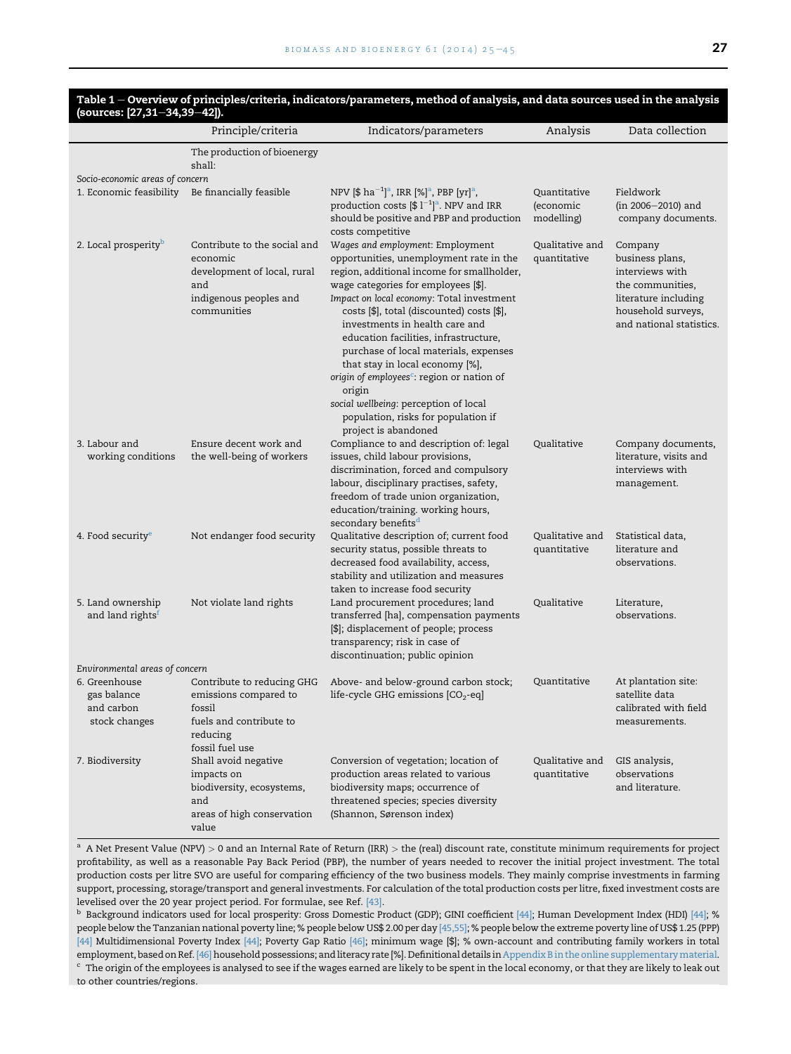|                                                             | Principle/criteria                                                                                                      | Indicators/parameters                                                                                                                                                                                                                                                                                                                                                                                                                                                                                                                                                                          | Analysis                                | Data collection                                                                                                                             |
|-------------------------------------------------------------|-------------------------------------------------------------------------------------------------------------------------|------------------------------------------------------------------------------------------------------------------------------------------------------------------------------------------------------------------------------------------------------------------------------------------------------------------------------------------------------------------------------------------------------------------------------------------------------------------------------------------------------------------------------------------------------------------------------------------------|-----------------------------------------|---------------------------------------------------------------------------------------------------------------------------------------------|
|                                                             | The production of bioenergy<br>shall:                                                                                   |                                                                                                                                                                                                                                                                                                                                                                                                                                                                                                                                                                                                |                                         |                                                                                                                                             |
| Socio-economic areas of concern                             |                                                                                                                         |                                                                                                                                                                                                                                                                                                                                                                                                                                                                                                                                                                                                |                                         |                                                                                                                                             |
| 1. Economic feasibility Be financially feasible             |                                                                                                                         | NPV [\$ ha <sup>-1</sup> ] <sup>a</sup> , IRR [%] <sup>a</sup> , PBP [yr] <sup>a</sup> ,<br>production costs $[\$ l^{-1}]^a$ . NPV and IRR<br>should be positive and PBP and production<br>costs competitive                                                                                                                                                                                                                                                                                                                                                                                   | Quantitative<br>(economic<br>modelling) | Fieldwork<br>(in 2006–2010) and<br>company documents.                                                                                       |
| 2. Local prosperity <sup>b</sup>                            | Contribute to the social and<br>economic<br>development of local, rural<br>and<br>indigenous peoples and<br>communities | Wages and employment: Employment<br>opportunities, unemployment rate in the<br>region, additional income for smallholder,<br>wage categories for employees [\$].<br>Impact on local economy: Total investment<br>costs [\$], total (discounted) costs [\$],<br>investments in health care and<br>education facilities, infrastructure,<br>purchase of local materials, expenses<br>that stay in local economy [%],<br>origin of employees <sup>c</sup> : region or nation of<br>origin<br>social wellbeing: perception of local<br>population, risks for population if<br>project is abandoned | Qualitative and<br>quantitative         | Company<br>business plans,<br>interviews with<br>the communities,<br>literature including<br>household surveys,<br>and national statistics. |
| 3. Labour and<br>working conditions                         | Ensure decent work and<br>the well-being of workers                                                                     | Compliance to and description of: legal<br>issues, child labour provisions,<br>discrimination, forced and compulsory<br>labour, disciplinary practises, safety,<br>freedom of trade union organization,<br>education/training. working hours,<br>secondary benefits <sup>d</sup>                                                                                                                                                                                                                                                                                                               | Qualitative                             | Company documents,<br>literature, visits and<br>interviews with<br>management.                                                              |
| 4. Food security <sup>e</sup>                               | Not endanger food security                                                                                              | Qualitative description of; current food<br>security status, possible threats to<br>decreased food availability, access,<br>stability and utilization and measures<br>taken to increase food security                                                                                                                                                                                                                                                                                                                                                                                          | Qualitative and<br>quantitative         | Statistical data,<br>literature and<br>observations.                                                                                        |
| 5. Land ownership<br>and land rights <sup>f</sup>           | Not violate land rights                                                                                                 | Land procurement procedures; land<br>transferred [ha], compensation payments<br>[\$]; displacement of people; process<br>transparency; risk in case of<br>discontinuation; public opinion                                                                                                                                                                                                                                                                                                                                                                                                      | Qualitative                             | Literature,<br>observations.                                                                                                                |
| Environmental areas of concern                              |                                                                                                                         |                                                                                                                                                                                                                                                                                                                                                                                                                                                                                                                                                                                                |                                         |                                                                                                                                             |
| 6. Greenhouse<br>gas balance<br>and carbon<br>stock changes | Contribute to reducing GHG<br>emissions compared to<br>fossil<br>fuels and contribute to<br>reducing<br>fossil fuel use | Above- and below-ground carbon stock;<br>life-cycle GHG emissions [CO2-eq]                                                                                                                                                                                                                                                                                                                                                                                                                                                                                                                     | Quantitative                            | At plantation site:<br>satellite data<br>calibrated with field<br>measurements.                                                             |
| 7. Biodiversity                                             | Shall avoid negative<br>impacts on<br>biodiversity, ecosystems,<br>and<br>areas of high conservation<br>value           | Conversion of vegetation; location of<br>production areas related to various<br>biodiversity maps; occurrence of<br>threatened species; species diversity<br>(Shannon, Sørenson index)                                                                                                                                                                                                                                                                                                                                                                                                         | Qualitative and<br>quantitative         | GIS analysis,<br>observations<br>and literature.                                                                                            |

## <span id="page-2-0"></span>Table 1 – Overview of principles/criteria, indicators/parameters, method of analysis, and data sources used in the analysis (sources: [\[27,31](#page-18-0)-[34,39](#page-18-0)-[42\]](#page-18-0)).

 $a$  A Net Present Value (NPV) > 0 and an Internal Rate of Return (IRR) > the (real) discount rate, constitute minimum requirements for project profitability, as well as a reasonable Pay Back Period (PBP), the number of years needed to recover the initial project investment. The total production costs per litre SVO are useful for comparing efficiency of the two business models. They mainly comprise investments in farming support, processing, storage/transport and general investments. For calculation of the total production costs per litre, fixed investment costs are levelised over the 20 year project period. For formulae, see Ref. [\[43\].](#page-18-0)

<sup>b</sup> Background indicators used for local prosperity: Gross Domestic Product (GDP); GINI coefficient [\[44\];](#page-18-0) Human Development Index (HDI) [\[44\]](#page-18-0); % people below the Tanzanian national poverty line; % people below US\$ 2.00 per day [\[45,55\];](#page-18-0) % people below the extreme poverty line of US\$ 1.25 (PPP) [\[44\]](#page-18-0) Multidimensional Poverty Index [\[44\]](#page-18-0); Poverty Gap Ratio [\[46\]](#page-18-0); minimum wage [\$]; % own-account and contributing family workers in total employment, based on Ref. [\[46\]](#page-18-0) household possessions; and literacy rate [%]. Definitional details in Appendix B in the online supplementary material.  $\degree$  The origin of the employees is analysed to see if the wages earned are likely to be spent in the local economy, or that they are likely to leak out to other countries/regions.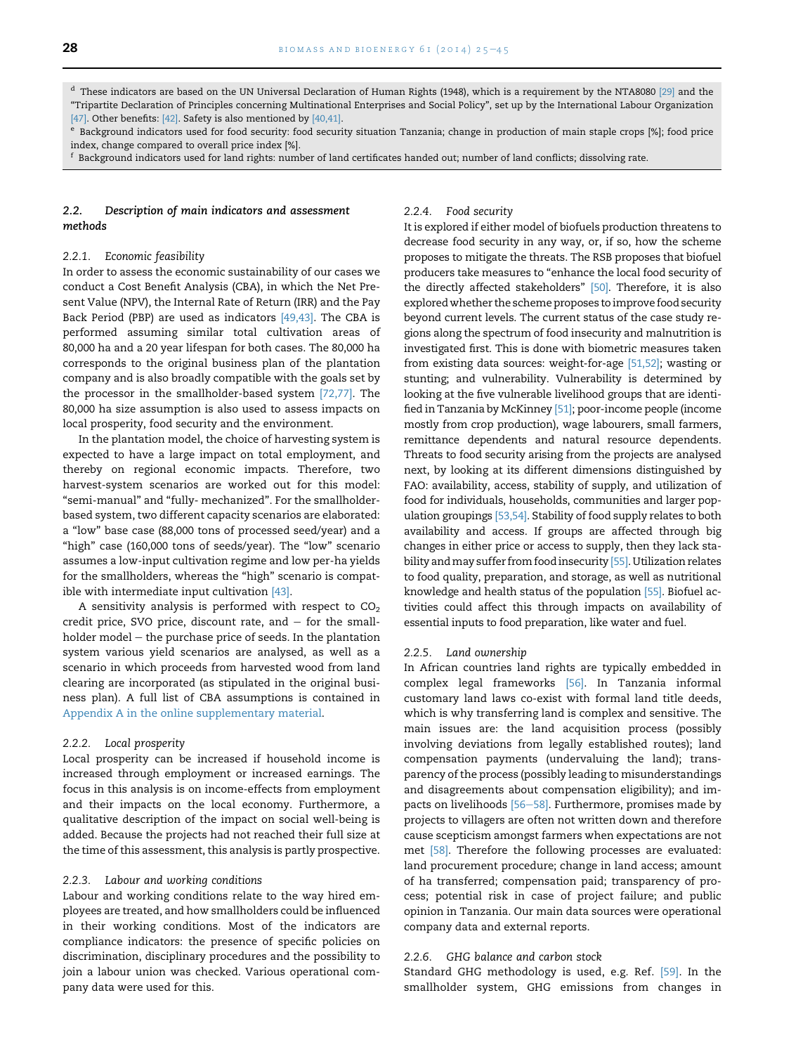$d$  These indicators are based on the UN Universal Declaration of Human Rights (1948), which is a requirement by the NTA8080 [\[29\]](#page-18-0) and the "Tripartite Declaration of Principles concerning Multinational Enterprises and Social Policy", set up by the International Labour Organization [\[47\]](#page-18-0). Other benefits: [\[42\]](#page-18-0). Safety is also mentioned by [\[40,41\].](#page-18-0)

<sup>e</sup> Background indicators used for food security: food security situation Tanzania; change in production of main staple crops [%]; food price index, change compared to overall price index [%].

<sup>f</sup> Background indicators used for land rights: number of land certificates handed out; number of land conflicts; dissolving rate.

## 2.2. Description of main indicators and assessment methods

#### 2.2.1. Economic feasibility

In order to assess the economic sustainability of our cases we conduct a Cost Benefit Analysis (CBA), in which the Net Present Value (NPV), the Internal Rate of Return (IRR) and the Pay Back Period (PBP) are used as indicators [\[49,43\]](#page-18-0). The CBA is performed assuming similar total cultivation areas of 80,000 ha and a 20 year lifespan for both cases. The 80,000 ha corresponds to the original business plan of the plantation company and is also broadly compatible with the goals set by the processor in the smallholder-based system [\[72,77\]](#page-19-0). The 80,000 ha size assumption is also used to assess impacts on local prosperity, food security and the environment.

In the plantation model, the choice of harvesting system is expected to have a large impact on total employment, and thereby on regional economic impacts. Therefore, two harvest-system scenarios are worked out for this model: "semi-manual" and "fully- mechanized". For the smallholderbased system, two different capacity scenarios are elaborated: a "low" base case (88,000 tons of processed seed/year) and a "high" case (160,000 tons of seeds/year). The "low" scenario assumes a low-input cultivation regime and low per-ha yields for the smallholders, whereas the "high" scenario is compatible with intermediate input cultivation [\[43\]](#page-18-0).

A sensitivity analysis is performed with respect to  $CO<sub>2</sub>$ credit price, SVO price, discount rate, and  $-$  for the smallholder model  $-$  the purchase price of seeds. In the plantation system various yield scenarios are analysed, as well as a scenario in which proceeds from harvested wood from land clearing are incorporated (as stipulated in the original business plan). A full list of CBA assumptions is contained in Appendix A in the online supplementary material.

#### 2.2.2. Local prosperity

Local prosperity can be increased if household income is increased through employment or increased earnings. The focus in this analysis is on income-effects from employment and their impacts on the local economy. Furthermore, a qualitative description of the impact on social well-being is added. Because the projects had not reached their full size at the time of this assessment, this analysis is partly prospective.

#### 2.2.3. Labour and working conditions

Labour and working conditions relate to the way hired employees are treated, and how smallholders could be influenced in their working conditions. Most of the indicators are compliance indicators: the presence of specific policies on discrimination, disciplinary procedures and the possibility to join a labour union was checked. Various operational company data were used for this.

### 2.2.4. Food security

It is explored if either model of biofuels production threatens to decrease food security in any way, or, if so, how the scheme proposes to mitigate the threats. The RSB proposes that biofuel producers take measures to "enhance the local food security of the directly affected stakeholders" [\[50\]](#page-18-0). Therefore, it is also exploredwhether the scheme proposes to improve food security beyond current levels. The current status of the case study regions along the spectrum of food insecurity and malnutrition is investigated first. This is done with biometric measures taken from existing data sources: weight-for-age [\[51,52\];](#page-18-0) wasting or stunting; and vulnerability. Vulnerability is determined by looking at the five vulnerable livelihood groups that are identified in Tanzania by McKinney [\[51\];](#page-18-0) poor-income people (income mostly from crop production), wage labourers, small farmers, remittance dependents and natural resource dependents. Threats to food security arising from the projects are analysed next, by looking at its different dimensions distinguished by FAO: availability, access, stability of supply, and utilization of food for individuals, households, communities and larger population groupings [\[53,54\].](#page-18-0) Stability of food supply relates to both availability and access. If groups are affected through big changes in either price or access to supply, then they lack sta-bility and may suffer from food insecurity [\[55\]](#page-18-0). Utilization relates to food quality, preparation, and storage, as well as nutritional knowledge and health status of the population [\[55\].](#page-18-0) Biofuel activities could affect this through impacts on availability of essential inputs to food preparation, like water and fuel.

#### 2.2.5. Land ownership

In African countries land rights are typically embedded in complex legal frameworks [\[56\].](#page-18-0) In Tanzania informal customary land laws co-exist with formal land title deeds, which is why transferring land is complex and sensitive. The main issues are: the land acquisition process (possibly involving deviations from legally established routes); land compensation payments (undervaluing the land); transparency of the process (possibly leading to misunderstandings and disagreements about compensation eligibility); and impacts on livelihoods  $[56-58]$  $[56-58]$  $[56-58]$ . Furthermore, promises made by projects to villagers are often not written down and therefore cause scepticism amongst farmers when expectations are not met [\[58\].](#page-18-0) Therefore the following processes are evaluated: land procurement procedure; change in land access; amount of ha transferred; compensation paid; transparency of process; potential risk in case of project failure; and public opinion in Tanzania. Our main data sources were operational company data and external reports.

## 2.2.6. GHG balance and carbon stock

Standard GHG methodology is used, e.g. Ref. [\[59\]](#page-18-0). In the smallholder system, GHG emissions from changes in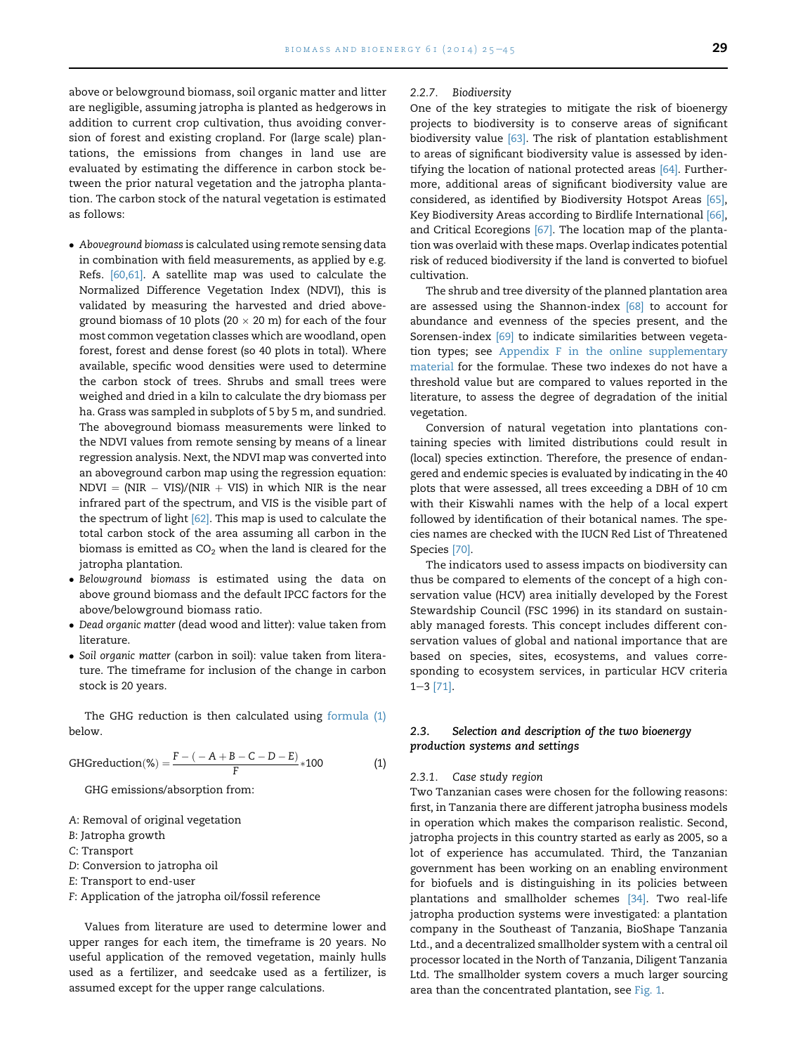<span id="page-4-0"></span>above or belowground biomass, soil organic matter and litter are negligible, assuming jatropha is planted as hedgerows in addition to current crop cultivation, thus avoiding conversion of forest and existing cropland. For (large scale) plantations, the emissions from changes in land use are evaluated by estimating the difference in carbon stock between the prior natural vegetation and the jatropha plantation. The carbon stock of the natural vegetation is estimated as follows:

- Aboveground biomass is calculated using remote sensing data in combination with field measurements, as applied by e.g. Refs. [\[60,61\].](#page-18-0) A satellite map was used to calculate the Normalized Difference Vegetation Index (NDVI), this is validated by measuring the harvested and dried aboveground biomass of 10 plots (20  $\times$  20 m) for each of the four most common vegetation classes which are woodland, open forest, forest and dense forest (so 40 plots in total). Where available, specific wood densities were used to determine the carbon stock of trees. Shrubs and small trees were weighed and dried in a kiln to calculate the dry biomass per ha. Grass was sampled in subplots of 5 by 5 m, and sundried. The aboveground biomass measurements were linked to the NDVI values from remote sensing by means of a linear regression analysis. Next, the NDVI map was converted into an aboveground carbon map using the regression equation:  $NDVI = (NIR - VIS)/(NIR + VIS)$  in which NIR is the near infrared part of the spectrum, and VIS is the visible part of the spectrum of light [\[62\].](#page-19-0) This map is used to calculate the total carbon stock of the area assuming all carbon in the biomass is emitted as  $CO<sub>2</sub>$  when the land is cleared for the jatropha plantation.
- Belowground biomass is estimated using the data on above ground biomass and the default IPCC factors for the above/belowground biomass ratio.
- Dead organic matter (dead wood and litter): value taken from literature.
- Soil organic matter (carbon in soil): value taken from literature. The timeframe for inclusion of the change in carbon stock is 20 years.

The GHG reduction is then calculated using formula (1) below.

GHGreduction (%) = 
$$
\frac{F - (-A + B - C - D - E)}{F} * 100
$$
 (1)

GHG emissions/absorption from:

- A: Removal of original vegetation
- B: Jatropha growth
- C: Transport
- D: Conversion to jatropha oil
- E: Transport to end-user
- F: Application of the jatropha oil/fossil reference

Values from literature are used to determine lower and upper ranges for each item, the timeframe is 20 years. No useful application of the removed vegetation, mainly hulls used as a fertilizer, and seedcake used as a fertilizer, is assumed except for the upper range calculations.

#### 2.2.7. Biodiversity

One of the key strategies to mitigate the risk of bioenergy projects to biodiversity is to conserve areas of significant biodiversity value [\[63\]](#page-19-0). The risk of plantation establishment to areas of significant biodiversity value is assessed by iden-tifying the location of national protected areas [\[64\].](#page-19-0) Furthermore, additional areas of significant biodiversity value are considered, as identified by Biodiversity Hotspot Areas [\[65\],](#page-19-0) Key Biodiversity Areas according to Birdlife International [\[66\],](#page-19-0) and Critical Ecoregions [\[67\]](#page-19-0). The location map of the plantation was overlaid with these maps. Overlap indicates potential risk of reduced biodiversity if the land is converted to biofuel cultivation.

The shrub and tree diversity of the planned plantation area are assessed using the Shannon-index  $[68]$  to account for abundance and evenness of the species present, and the Sorensen-index [\[69\]](#page-19-0) to indicate similarities between vegetation types; see Appendix F in the online supplementary material for the formulae. These two indexes do not have a threshold value but are compared to values reported in the literature, to assess the degree of degradation of the initial vegetation.

Conversion of natural vegetation into plantations containing species with limited distributions could result in (local) species extinction. Therefore, the presence of endangered and endemic species is evaluated by indicating in the 40 plots that were assessed, all trees exceeding a DBH of 10 cm with their Kiswahli names with the help of a local expert followed by identification of their botanical names. The species names are checked with the IUCN Red List of Threatened Species [\[70\]](#page-19-0).

The indicators used to assess impacts on biodiversity can thus be compared to elements of the concept of a high conservation value (HCV) area initially developed by the Forest Stewardship Council (FSC 1996) in its standard on sustainably managed forests. This concept includes different conservation values of global and national importance that are based on species, sites, ecosystems, and values corresponding to ecosystem services, in particular HCV criteria  $1-3$  [\[71\]](#page-19-0).

## 2.3. Selection and description of the two bioenergy production systems and settings

## 2.3.1. Case study region

Two Tanzanian cases were chosen for the following reasons: first, in Tanzania there are different jatropha business models in operation which makes the comparison realistic. Second, jatropha projects in this country started as early as 2005, so a lot of experience has accumulated. Third, the Tanzanian government has been working on an enabling environment for biofuels and is distinguishing in its policies between plantations and smallholder schemes [\[34\].](#page-18-0) Two real-life jatropha production systems were investigated: a plantation company in the Southeast of Tanzania, BioShape Tanzania Ltd., and a decentralized smallholder system with a central oil processor located in the North of Tanzania, Diligent Tanzania Ltd. The smallholder system covers a much larger sourcing area than the concentrated plantation, see [Fig. 1](#page-5-0).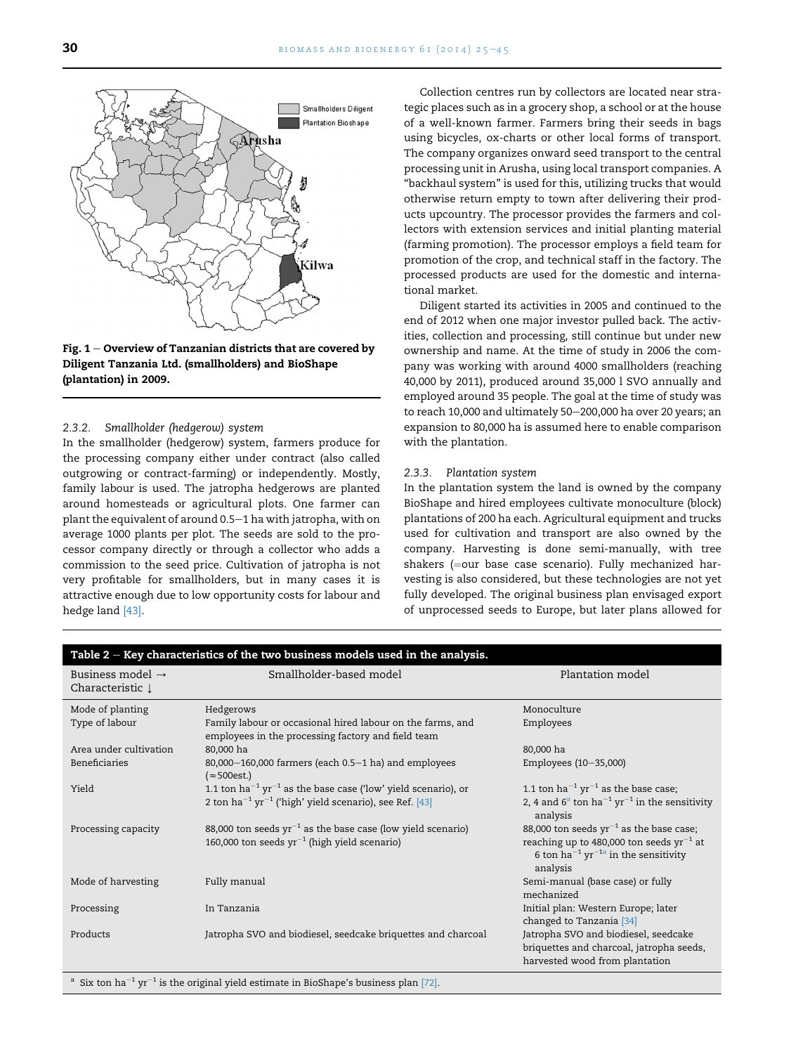<span id="page-5-0"></span>

## Fig.  $1 -$  Overview of Tanzanian districts that are covered by Diligent Tanzania Ltd. (smallholders) and BioShape (plantation) in 2009.

#### 2.3.2. Smallholder (hedgerow) system

In the smallholder (hedgerow) system, farmers produce for the processing company either under contract (also called outgrowing or contract-farming) or independently. Mostly, family labour is used. The jatropha hedgerows are planted around homesteads or agricultural plots. One farmer can plant the equivalent of around 0.5-1 ha with jatropha, with on average 1000 plants per plot. The seeds are sold to the processor company directly or through a collector who adds a commission to the seed price. Cultivation of jatropha is not very profitable for smallholders, but in many cases it is attractive enough due to low opportunity costs for labour and hedge land [\[43\].](#page-18-0)

Collection centres run by collectors are located near strategic places such as in a grocery shop, a school or at the house of a well-known farmer. Farmers bring their seeds in bags using bicycles, ox-charts or other local forms of transport. The company organizes onward seed transport to the central processing unit in Arusha, using local transport companies. A "backhaul system" is used for this, utilizing trucks that would otherwise return empty to town after delivering their products upcountry. The processor provides the farmers and collectors with extension services and initial planting material (farming promotion). The processor employs a field team for promotion of the crop, and technical staff in the factory. The processed products are used for the domestic and international market.

Diligent started its activities in 2005 and continued to the end of 2012 when one major investor pulled back. The activities, collection and processing, still continue but under new ownership and name. At the time of study in 2006 the company was working with around 4000 smallholders (reaching 40,000 by 2011), produced around 35,000 l SVO annually and employed around 35 people. The goal at the time of study was to reach 10,000 and ultimately 50-200,000 ha over 20 years; an expansion to 80,000 ha is assumed here to enable comparison with the plantation.

#### 2.3.3. Plantation system

In the plantation system the land is owned by the company BioShape and hired employees cultivate monoculture (block) plantations of 200 ha each. Agricultural equipment and trucks used for cultivation and transport are also owned by the company. Harvesting is done semi-manually, with tree shakers (=our base case scenario). Fully mechanized harvesting is also considered, but these technologies are not yet fully developed. The original business plan envisaged export of unprocessed seeds to Europe, but later plans allowed for

|                                                  | Table $2$ – Key characteristics of the two business models used in the analysis.                                 |                                                                                                                          |
|--------------------------------------------------|------------------------------------------------------------------------------------------------------------------|--------------------------------------------------------------------------------------------------------------------------|
| Business model $\rightarrow$<br>Characteristic 1 | Smallholder-based model                                                                                          | Plantation model                                                                                                         |
| Mode of planting                                 | Hedgerows                                                                                                        | Monoculture                                                                                                              |
| Type of labour                                   | Family labour or occasional hired labour on the farms, and<br>employees in the processing factory and field team | Employees                                                                                                                |
| Area under cultivation                           | 80,000 ha                                                                                                        | 80,000 ha                                                                                                                |
| Beneficiaries                                    | $80,000-160,000$ farmers (each $0.5-1$ ha) and employees<br>$(\approx 500est.)$                                  | Employees (10-35,000)                                                                                                    |
| Yield                                            | 1.1 ton ha <sup>-1</sup> $yr^{-1}$ as the base case ('low' yield scenario), or                                   | 1.1 ton ha <sup>-1</sup> yr <sup>-1</sup> as the base case;                                                              |
|                                                  | 2 ton ha <sup><math>-1</math></sup> yr <sup><math>-1</math></sup> ('high' yield scenario), see Ref. [43]         | 2, 4 and $6^a$ ton ha <sup>-1</sup> yr <sup>-1</sup> in the sensitivity<br>analysis                                      |
| Processing capacity                              | 88,000 ton seeds $yr^{-1}$ as the base case (low yield scenario)                                                 | 88,000 ton seeds $yr^{-1}$ as the base case;                                                                             |
|                                                  | 160,000 ton seeds $yr^{-1}$ (high yield scenario)                                                                | reaching up to 480,000 ton seeds $yr^{-1}$ at<br>6 ton ha <sup>-1</sup> yr <sup>-1a</sup> in the sensitivity<br>analysis |
| Mode of harvesting                               | Fully manual                                                                                                     | Semi-manual (base case) or fully<br>mechanized                                                                           |
| Processing                                       | In Tanzania                                                                                                      | Initial plan: Western Europe; later                                                                                      |
|                                                  |                                                                                                                  | changed to Tanzania [34]                                                                                                 |
| Products                                         | Jatropha SVO and biodiesel, seedcake briquettes and charcoal                                                     | Jatropha SVO and biodiesel, seedcake                                                                                     |
|                                                  |                                                                                                                  | briquettes and charcoal, jatropha seeds,                                                                                 |
|                                                  |                                                                                                                  | harvested wood from plantation                                                                                           |
|                                                  |                                                                                                                  |                                                                                                                          |

 $^{\rm a}$  Six ton ha $^{-1}$  yr $^{-1}$  is the original yield estimate in BioShape's business plan [\[72\]](#page-19-0).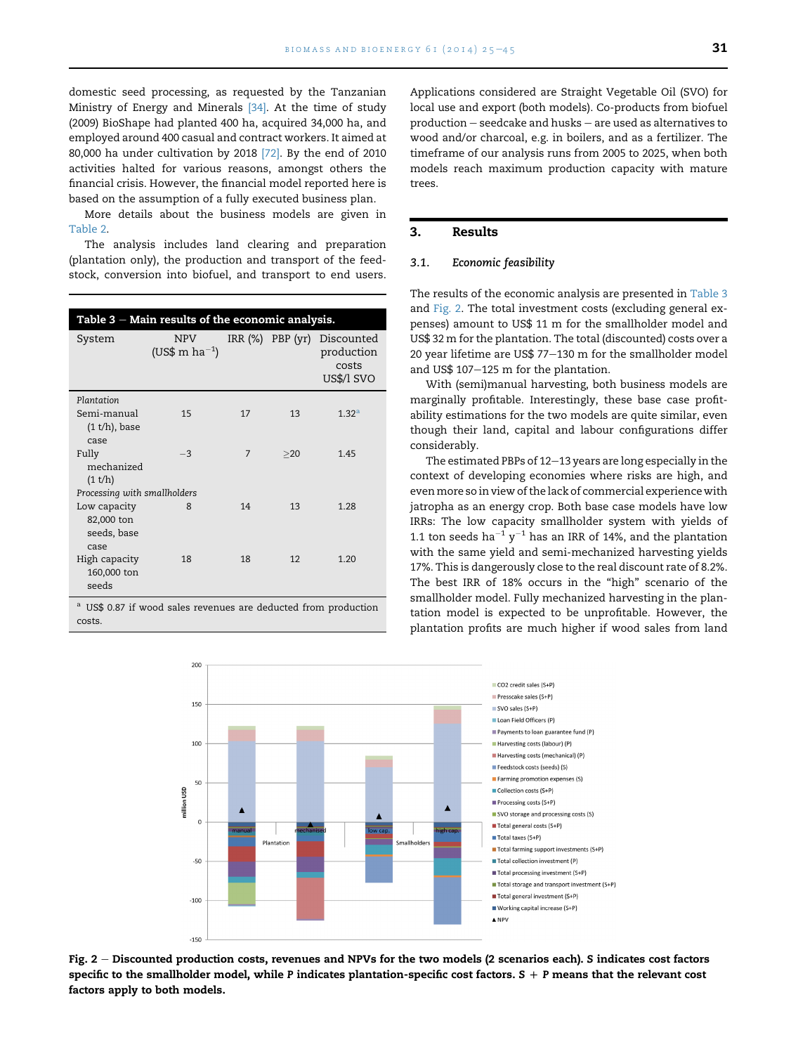<span id="page-6-0"></span>domestic seed processing, as requested by the Tanzanian Ministry of Energy and Minerals [\[34\].](#page-18-0) At the time of study (2009) BioShape had planted 400 ha, acquired 34,000 ha, and employed around 400 casual and contract workers. It aimed at 80,000 ha under cultivation by 2018 [\[72\].](#page-19-0) By the end of 2010 activities halted for various reasons, amongst others the financial crisis. However, the financial model reported here is based on the assumption of a fully executed business plan.

More details about the business models are given in [Table 2](#page-5-0).

The analysis includes land clearing and preparation (plantation only), the production and transport of the feedstock, conversion into biofuel, and transport to end users.

| Table 3 - Main results of the economic analysis.  |                                   |    |                       |                                                 |  |  |
|---------------------------------------------------|-----------------------------------|----|-----------------------|-------------------------------------------------|--|--|
| System                                            | <b>NPV</b><br>(US\$ m $ha^{-1}$ ) |    | IRR $(\%)$ PBP $(yr)$ | Discounted<br>production<br>costs<br>US\$/l SVO |  |  |
| Plantation                                        |                                   |    |                       |                                                 |  |  |
| Semi-manual<br>$(1 t/h)$ , base<br>case           | 15                                | 17 | 13                    | $1.32^{a}$                                      |  |  |
| Fully<br>mechanized<br>(1 t/h)                    | $-3$                              | 7  | >20                   | 1.45                                            |  |  |
| Processing with smallholders                      |                                   |    |                       |                                                 |  |  |
| Low capacity<br>82,000 ton<br>seeds, base<br>case | 8                                 | 14 | 13                    | 1.28                                            |  |  |
| High capacity<br>160,000 ton<br>seeds             | 18                                | 18 | 12                    | 1.20                                            |  |  |

<sup>a</sup> US\$ 0.87 if wood sales revenues are deducted from production costs.

Applications considered are Straight Vegetable Oil (SVO) for local use and export (both models). Co-products from biofuel  $production - seedcake$  and  $husks - are used$  as alternatives to wood and/or charcoal, e.g. in boilers, and as a fertilizer. The timeframe of our analysis runs from 2005 to 2025, when both models reach maximum production capacity with mature trees.

## 3. Results

#### 3.1. Economic feasibility

The results of the economic analysis are presented in Table 3 and Fig. 2. The total investment costs (excluding general expenses) amount to US\$ 11 m for the smallholder model and US\$ 32 m for the plantation. The total (discounted) costs over a 20 year lifetime are US\$ 77 $-130$  m for the smallholder model and US\$ 107-125 m for the plantation.

With (semi)manual harvesting, both business models are marginally profitable. Interestingly, these base case profitability estimations for the two models are quite similar, even though their land, capital and labour configurations differ considerably.

The estimated PBPs of  $12-13$  years are long especially in the context of developing economies where risks are high, and evenmore so in view of the lack of commercial experience with jatropha as an energy crop. Both base case models have low IRRs: The low capacity smallholder system with yields of 1.1 ton seeds ha $^{-1}$  y $^{-1}$  has an IRR of 14%, and the plantation with the same yield and semi-mechanized harvesting yields 17%. This is dangerously close to the real discount rate of 8.2%. The best IRR of 18% occurs in the "high" scenario of the smallholder model. Fully mechanized harvesting in the plantation model is expected to be unprofitable. However, the plantation profits are much higher if wood sales from land



Fig. 2 - Discounted production costs, revenues and NPVs for the two models (2 scenarios each). S indicates cost factors specific to the smallholder model, while P indicates plantation-specific cost factors.  $S + P$  means that the relevant cost factors apply to both models.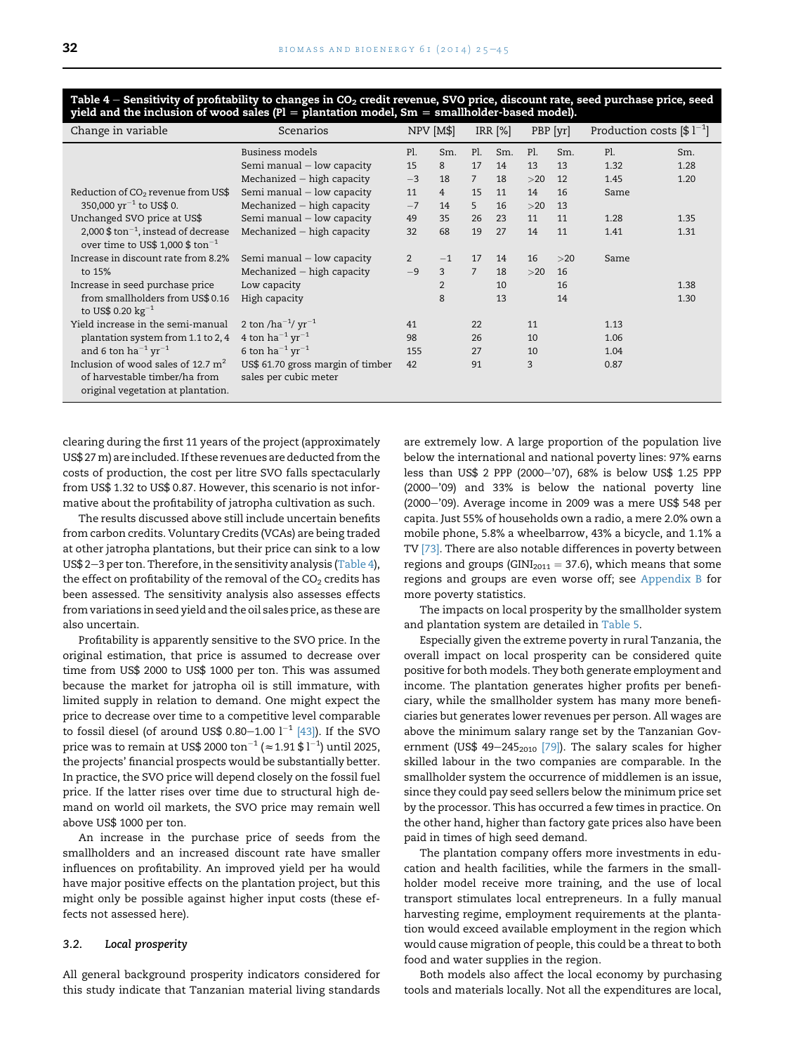| Change in variable                                                                                          | Scenarios                                                  |                | NPV [M\$]      |                | IRR [%] |     | PBP [yr] | Production costs $[\$ l^{-1}]$ |      |
|-------------------------------------------------------------------------------------------------------------|------------------------------------------------------------|----------------|----------------|----------------|---------|-----|----------|--------------------------------|------|
|                                                                                                             | Business models                                            | P <sub>1</sub> | Sm.            | Pl.            | Sm.     | Pl. | Sm.      | Pl.                            | Sm.  |
|                                                                                                             | Semi manual $-$ low capacity                               | 15             | 8              | 17             | 14      | 13  | 13       | 1.32                           | 1.28 |
|                                                                                                             | Mechanized $-$ high capacity                               | $-3$           | 18             | $\overline{7}$ | 18      | >20 | 12       | 1.45                           | 1.20 |
| Reduction of $CO2$ revenue from US\$                                                                        | Semi manual $-$ low capacity                               | 11             | $\overline{4}$ | 15             | 11      | 14  | 16       | Same                           |      |
| 350,000 $yr^{-1}$ to US\$ 0.                                                                                | Mechanized $-$ high capacity                               | $-7$           | 14             | 5              | 16      | >20 | 13       |                                |      |
| Unchanged SVO price at US\$                                                                                 | Semi manual $-$ low capacity                               | 49             | 35             | 26             | 23      | 11  | 11       | 1.28                           | 1.35 |
| 2,000 \$ ton $^{-1}$ , instead of decrease<br>over time to US\$ 1,000 \$ ton <sup>-1</sup>                  | Mechanized $-$ high capacity                               | 32             | 68             | 19             | 27      | 14  | 11       | 1.41                           | 1.31 |
| Increase in discount rate from 8.2%                                                                         | Semi manual $-$ low capacity                               | 2              | $-1$           | 17             | 14      | 16  | >20      | Same                           |      |
| to 15%                                                                                                      | Mechanized $-$ high capacity                               | $-9$           | 3              | $\overline{7}$ | 18      | >20 | 16       |                                |      |
| Increase in seed purchase price                                                                             | Low capacity                                               |                | $\overline{2}$ |                | 10      |     | 16       |                                | 1.38 |
| from smallholders from US\$ 0.16<br>to US\$ 0.20 $kg^{-1}$                                                  | High capacity                                              |                | 8              |                | 13      |     | 14       |                                | 1.30 |
| Yield increase in the semi-manual                                                                           | 2 ton /ha <sup>-1</sup> / $yr^{-1}$                        | 41             |                | 22             |         | 11  |          | 1.13                           |      |
| plantation system from 1.1 to 2, 4                                                                          | 4 ton ha <sup>-1</sup> $yr^{-1}$                           | 98             |                | 26             |         | 10  |          | 1.06                           |      |
| and 6 ton $ha^{-1}$ yr <sup>-1</sup>                                                                        | 6 ton ha <sup>-1</sup> yr <sup>-1</sup>                    | 155            |                | 27             |         | 10  |          | 1.04                           |      |
| Inclusion of wood sales of 12.7 $m2$<br>of harvestable timber/ha from<br>original vegetation at plantation. | US\$ 61.70 gross margin of timber<br>sales per cubic meter | 42             |                | 91             |         | 3   |          | 0.87                           |      |

Table 4 – Sensitivity of profitability to changes in CO<sub>2</sub> credit revenue, SVO price, discount rate, seed purchase price, seed yield and the inclusion of wood sales (Pl  $=$  plantation model, Sm  $=$  smallholder-based model).

clearing during the first 11 years of the project (approximately US\$ 27m) are included. If these revenues are deducted from the costs of production, the cost per litre SVO falls spectacularly from US\$ 1.32 to US\$ 0.87. However, this scenario is not informative about the profitability of jatropha cultivation as such.

The results discussed above still include uncertain benefits from carbon credits. Voluntary Credits (VCAs) are being traded at other jatropha plantations, but their price can sink to a low US\$ 2-3 per ton. Therefore, in the sensitivity analysis (Table 4), the effect on profitability of the removal of the  $CO<sub>2</sub>$  credits has been assessed. The sensitivity analysis also assesses effects from variations in seed yield and the oil sales price, as these are also uncertain.

Profitability is apparently sensitive to the SVO price. In the original estimation, that price is assumed to decrease over time from US\$ 2000 to US\$ 1000 per ton. This was assumed because the market for jatropha oil is still immature, with limited supply in relation to demand. One might expect the price to decrease over time to a competitive level comparable to fossil diesel (of around US\$ 0.80–1.00  $l^{-1}$  [\[43\]](#page-18-0)). If the SVO price was to remain at US\$ 2000 ton $^{-1}$  ( $\approx$  1.91 \$  ${\rm l}^{-1}$ ) until 2025, the projects' financial prospects would be substantially better. In practice, the SVO price will depend closely on the fossil fuel price. If the latter rises over time due to structural high demand on world oil markets, the SVO price may remain well above US\$ 1000 per ton.

An increase in the purchase price of seeds from the smallholders and an increased discount rate have smaller influences on profitability. An improved yield per ha would have major positive effects on the plantation project, but this might only be possible against higher input costs (these effects not assessed here).

#### 3.2. Local prosperity

All general background prosperity indicators considered for this study indicate that Tanzanian material living standards are extremely low. A large proportion of the population live below the international and national poverty lines: 97% earns less than US\$ 2 PPP (2000-'07), 68% is below US\$ 1.25 PPP  $(2000-'09)$  and 33% is below the national poverty line  $(2000-'09)$ . Average income in 2009 was a mere US\$ 548 per capita. Just 55% of households own a radio, a mere 2.0% own a mobile phone, 5.8% a wheelbarrow, 43% a bicycle, and 1.1% a TV [\[73\]](#page-19-0). There are also notable differences in poverty between regions and groups (GINI $_{2011} = 37.6$ ), which means that some regions and groups are even worse off; see Appendix B for more poverty statistics.

The impacts on local prosperity by the smallholder system and plantation system are detailed in [Table 5](#page-8-0).

Especially given the extreme poverty in rural Tanzania, the overall impact on local prosperity can be considered quite positive for both models. They both generate employment and income. The plantation generates higher profits per beneficiary, while the smallholder system has many more beneficiaries but generates lower revenues per person. All wages are above the minimum salary range set by the Tanzanian Government (US\$ 49-245 $_{2010}$  [\[79\]\)](#page-19-0). The salary scales for higher skilled labour in the two companies are comparable. In the smallholder system the occurrence of middlemen is an issue, since they could pay seed sellers below the minimum price set by the processor. This has occurred a few times in practice. On the other hand, higher than factory gate prices also have been paid in times of high seed demand.

The plantation company offers more investments in education and health facilities, while the farmers in the smallholder model receive more training, and the use of local transport stimulates local entrepreneurs. In a fully manual harvesting regime, employment requirements at the plantation would exceed available employment in the region which would cause migration of people, this could be a threat to both food and water supplies in the region.

Both models also affect the local economy by purchasing tools and materials locally. Not all the expenditures are local,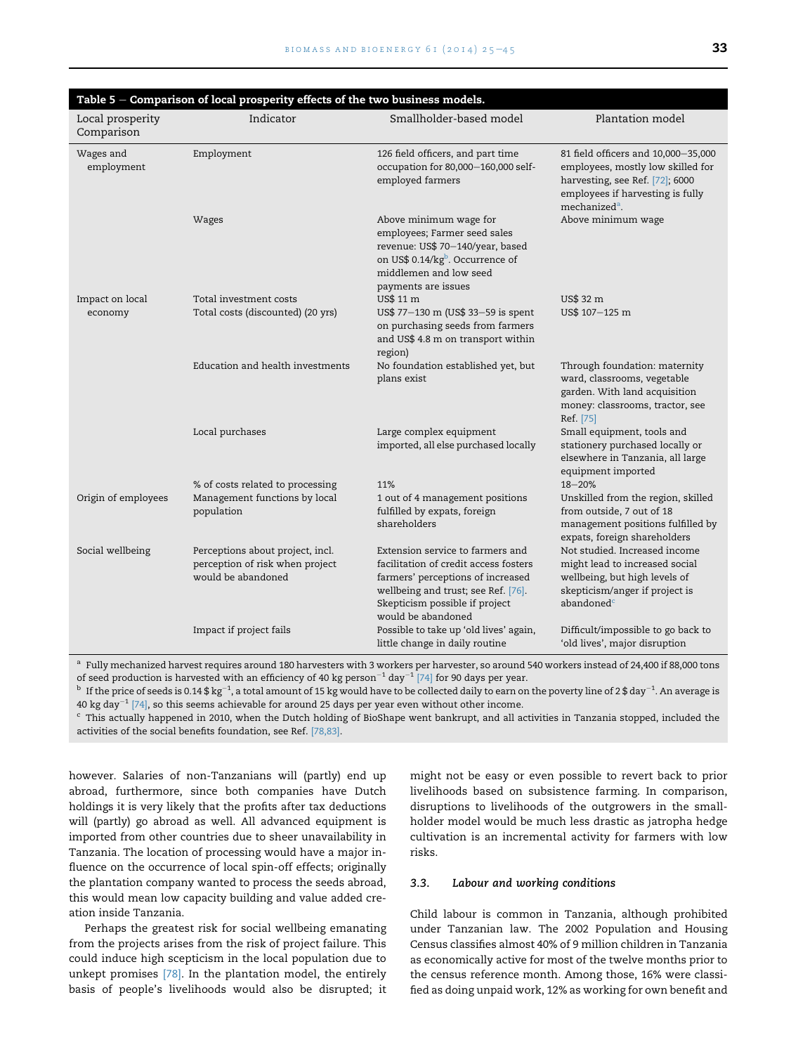<span id="page-8-0"></span>

|                                | Table 5 - Comparison of local prosperity effects of the two business models.              |                                                                                                                                                                                                               |                                                                                                                                                                              |
|--------------------------------|-------------------------------------------------------------------------------------------|---------------------------------------------------------------------------------------------------------------------------------------------------------------------------------------------------------------|------------------------------------------------------------------------------------------------------------------------------------------------------------------------------|
| Local prosperity<br>Comparison | Indicator                                                                                 | Smallholder-based model                                                                                                                                                                                       | Plantation model                                                                                                                                                             |
| Wages and<br>employment        | Employment                                                                                | 126 field officers, and part time<br>occupation for 80,000-160,000 self-<br>employed farmers                                                                                                                  | 81 field officers and 10,000-35,000<br>employees, mostly low skilled for<br>harvesting, see Ref. [72]; 6000<br>employees if harvesting is fully<br>mechanized <sup>a</sup> . |
|                                | Wages                                                                                     | Above minimum wage for<br>employees; Farmer seed sales<br>revenue: US\$ 70-140/year, based<br>on US\$ 0.14/kg <sup>b</sup> . Occurrence of<br>middlemen and low seed<br>payments are issues                   | Above minimum wage                                                                                                                                                           |
| Impact on local                | Total investment costs                                                                    | US\$ 11 m                                                                                                                                                                                                     | US\$ 32 m                                                                                                                                                                    |
| economy                        | Total costs (discounted) (20 yrs)                                                         | US\$ 77-130 m (US\$ 33-59 is spent<br>on purchasing seeds from farmers<br>and US\$ 4.8 m on transport within<br>region)                                                                                       | US\$ 107-125 m                                                                                                                                                               |
|                                | Education and health investments                                                          | No foundation established yet, but<br>plans exist                                                                                                                                                             | Through foundation: maternity<br>ward, classrooms, vegetable<br>garden. With land acquisition<br>money: classrooms, tractor, see<br>Ref. [75]                                |
|                                | Local purchases                                                                           | Large complex equipment<br>imported, all else purchased locally                                                                                                                                               | Small equipment, tools and<br>stationery purchased locally or<br>elsewhere in Tanzania, all large<br>equipment imported                                                      |
|                                | % of costs related to processing                                                          | 11%                                                                                                                                                                                                           | $18 - 20%$                                                                                                                                                                   |
| Origin of employees            | Management functions by local<br>population                                               | 1 out of 4 management positions<br>fulfilled by expats, foreign<br>shareholders                                                                                                                               | Unskilled from the region, skilled<br>from outside, 7 out of 18<br>management positions fulfilled by<br>expats, foreign shareholders                                         |
| Social wellbeing               | Perceptions about project, incl.<br>perception of risk when project<br>would be abandoned | Extension service to farmers and<br>facilitation of credit access fosters<br>farmers' perceptions of increased<br>wellbeing and trust; see Ref. [76].<br>Skepticism possible if project<br>would be abandoned | Not studied. Increased income<br>might lead to increased social<br>wellbeing, but high levels of<br>skepticism/anger if project is<br>abandoned <sup>c</sup>                 |
|                                | Impact if project fails                                                                   | Possible to take up 'old lives' again,<br>little change in daily routine                                                                                                                                      | Difficult/impossible to go back to<br>'old lives', major disruption                                                                                                          |

<sup>a</sup> Fully mechanized harvest requires around 180 harvesters with 3 workers per harvester, so around 540 workers instead of 24,400 if 88,000 tons of seed production is harvested with an efficiency of 40 kg person $^{-1}$  day $^{-1}$  [\[74\]](#page-19-0) for 90 days per year.

 $^{\rm b}$  If the price of seeds is 0.14 \$ kg $^{-1}$ , a total amount of 15 kg would have to be collected daily to earn on the poverty line of 2 \$ day $^{-1}$ . An average is 40 kg day $^{-1}$  [\[74\]](#page-19-0), so this seems achievable for around 25 days per year even without other income.

 $\degree$  This actually happened in 2010, when the Dutch holding of BioShape went bankrupt, and all activities in Tanzania stopped, included the activities of the social benefits foundation, see Ref. [\[78,83\]](#page-19-0).

however. Salaries of non-Tanzanians will (partly) end up abroad, furthermore, since both companies have Dutch holdings it is very likely that the profits after tax deductions will (partly) go abroad as well. All advanced equipment is imported from other countries due to sheer unavailability in Tanzania. The location of processing would have a major influence on the occurrence of local spin-off effects; originally the plantation company wanted to process the seeds abroad, this would mean low capacity building and value added creation inside Tanzania.

Perhaps the greatest risk for social wellbeing emanating from the projects arises from the risk of project failure. This could induce high scepticism in the local population due to unkept promises [\[78\].](#page-19-0) In the plantation model, the entirely basis of people's livelihoods would also be disrupted; it

might not be easy or even possible to revert back to prior livelihoods based on subsistence farming. In comparison, disruptions to livelihoods of the outgrowers in the smallholder model would be much less drastic as jatropha hedge cultivation is an incremental activity for farmers with low risks.

## 3.3. Labour and working conditions

Child labour is common in Tanzania, although prohibited under Tanzanian law. The 2002 Population and Housing Census classifies almost 40% of 9 million children in Tanzania as economically active for most of the twelve months prior to the census reference month. Among those, 16% were classified as doing unpaid work, 12% as working for own benefit and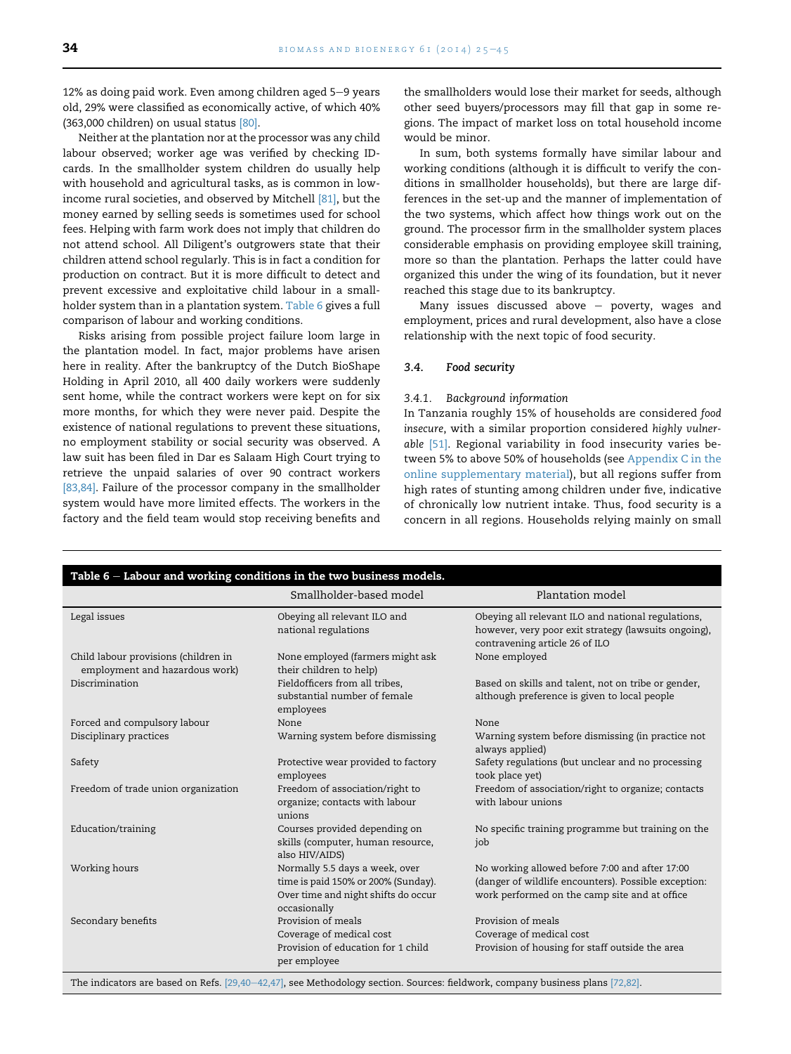12% as doing paid work. Even among children aged 5-9 years old, 29% were classified as economically active, of which 40% (363,000 children) on usual status [\[80\]](#page-19-0).

Neither at the plantation nor at the processor was any child labour observed; worker age was verified by checking IDcards. In the smallholder system children do usually help with household and agricultural tasks, as is common in lowincome rural societies, and observed by Mitchell [\[81\]](#page-19-0), but the money earned by selling seeds is sometimes used for school fees. Helping with farm work does not imply that children do not attend school. All Diligent's outgrowers state that their children attend school regularly. This is in fact a condition for production on contract. But it is more difficult to detect and prevent excessive and exploitative child labour in a smallholder system than in a plantation system. Table 6 gives a full comparison of labour and working conditions.

Risks arising from possible project failure loom large in the plantation model. In fact, major problems have arisen here in reality. After the bankruptcy of the Dutch BioShape Holding in April 2010, all 400 daily workers were suddenly sent home, while the contract workers were kept on for six more months, for which they were never paid. Despite the existence of national regulations to prevent these situations, no employment stability or social security was observed. A law suit has been filed in Dar es Salaam High Court trying to retrieve the unpaid salaries of over 90 contract workers [\[83,84\].](#page-19-0) Failure of the processor company in the smallholder system would have more limited effects. The workers in the factory and the field team would stop receiving benefits and the smallholders would lose their market for seeds, although other seed buyers/processors may fill that gap in some regions. The impact of market loss on total household income would be minor.

In sum, both systems formally have similar labour and working conditions (although it is difficult to verify the conditions in smallholder households), but there are large differences in the set-up and the manner of implementation of the two systems, which affect how things work out on the ground. The processor firm in the smallholder system places considerable emphasis on providing employee skill training, more so than the plantation. Perhaps the latter could have organized this under the wing of its foundation, but it never reached this stage due to its bankruptcy.

Many issues discussed above  $-$  poverty, wages and employment, prices and rural development, also have a close relationship with the next topic of food security.

#### 3.4. Food security

#### 3.4.1. Background information

In Tanzania roughly 15% of households are considered food insecure, with a similar proportion considered highly vulnerable [\[51\]](#page-18-0). Regional variability in food insecurity varies between 5% to above 50% of households (see Appendix C in the online supplementary material), but all regions suffer from high rates of stunting among children under five, indicative of chronically low nutrient intake. Thus, food security is a concern in all regions. Households relying mainly on small

| Table $6$ – Labour and working conditions in the two business models.  |                                                                                                                              |                                                                                                                                                         |  |  |
|------------------------------------------------------------------------|------------------------------------------------------------------------------------------------------------------------------|---------------------------------------------------------------------------------------------------------------------------------------------------------|--|--|
|                                                                        | Smallholder-based model                                                                                                      | Plantation model                                                                                                                                        |  |  |
| Legal issues                                                           | Obeying all relevant ILO and<br>national regulations                                                                         | Obeying all relevant ILO and national regulations,<br>however, very poor exit strategy (lawsuits ongoing),<br>contravening article 26 of ILO            |  |  |
| Child labour provisions (children in<br>employment and hazardous work) | None employed (farmers might ask<br>their children to help)                                                                  | None employed                                                                                                                                           |  |  |
| Discrimination                                                         | Fieldofficers from all tribes,<br>substantial number of female<br>employees                                                  | Based on skills and talent, not on tribe or gender,<br>although preference is given to local people                                                     |  |  |
| Forced and compulsory labour                                           | None                                                                                                                         | None                                                                                                                                                    |  |  |
| Disciplinary practices                                                 | Warning system before dismissing                                                                                             | Warning system before dismissing (in practice not<br>always applied)                                                                                    |  |  |
| Safety                                                                 | Protective wear provided to factory<br>employees                                                                             | Safety regulations (but unclear and no processing<br>took place yet)                                                                                    |  |  |
| Freedom of trade union organization                                    | Freedom of association/right to<br>organize; contacts with labour<br>unions                                                  | Freedom of association/right to organize; contacts<br>with labour unions                                                                                |  |  |
| Education/training                                                     | Courses provided depending on<br>skills (computer, human resource,<br>also HIV/AIDS)                                         | No specific training programme but training on the<br>job                                                                                               |  |  |
| Working hours                                                          | Normally 5.5 days a week, over<br>time is paid 150% or 200% (Sunday).<br>Over time and night shifts do occur<br>occasionally | No working allowed before 7:00 and after 17:00<br>(danger of wildlife encounters). Possible exception:<br>work performed on the camp site and at office |  |  |
| Secondary benefits                                                     | Provision of meals                                                                                                           | Provision of meals                                                                                                                                      |  |  |
|                                                                        | Coverage of medical cost                                                                                                     | Coverage of medical cost                                                                                                                                |  |  |
|                                                                        | Provision of education for 1 child<br>per employee                                                                           | Provision of housing for staff outside the area                                                                                                         |  |  |

The indicators are based on Refs.  $[29,40-42,47]$  $[29,40-42,47]$ , see Methodology section. Sources: fieldwork, company business plans  $[72,82]$ .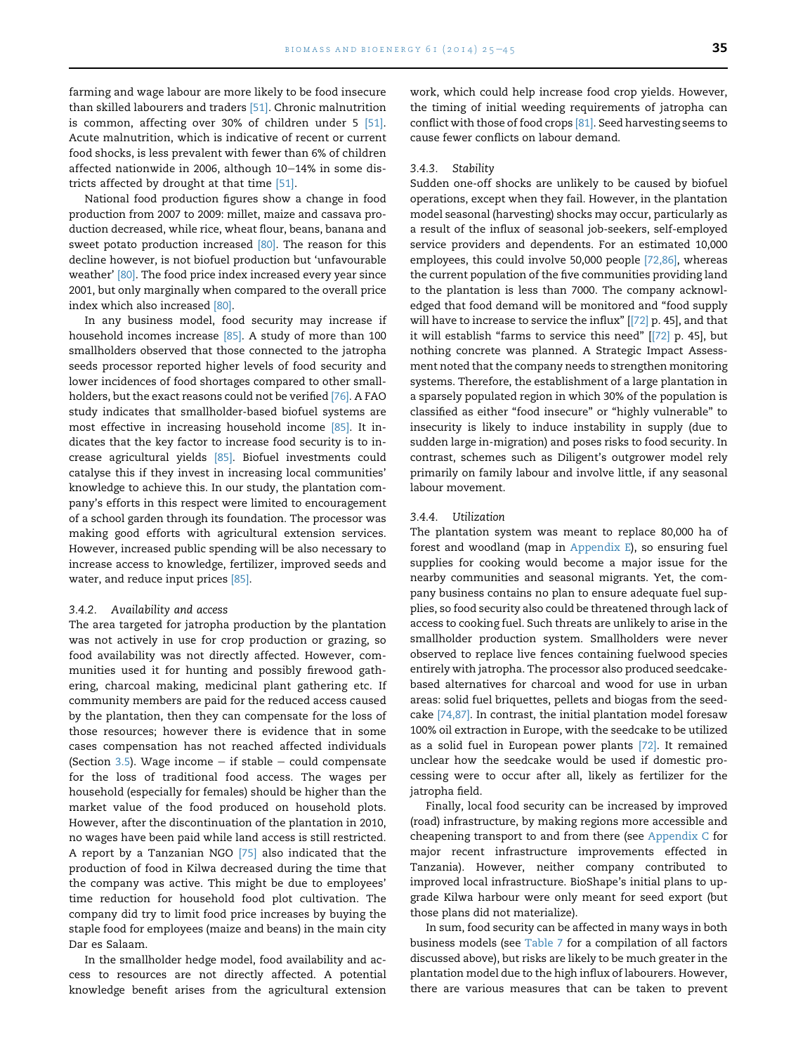farming and wage labour are more likely to be food insecure than skilled labourers and traders [\[51\]](#page-18-0). Chronic malnutrition is common, affecting over 30% of children under 5 [\[51\].](#page-18-0) Acute malnutrition, which is indicative of recent or current food shocks, is less prevalent with fewer than 6% of children affected nationwide in 2006, although 10-14% in some districts affected by drought at that time [\[51\].](#page-18-0)

National food production figures show a change in food production from 2007 to 2009: millet, maize and cassava production decreased, while rice, wheat flour, beans, banana and sweet potato production increased [\[80\].](#page-19-0) The reason for this decline however, is not biofuel production but 'unfavourable weather' [\[80\]](#page-19-0). The food price index increased every year since 2001, but only marginally when compared to the overall price index which also increased [\[80\].](#page-19-0)

In any business model, food security may increase if household incomes increase [\[85\].](#page-19-0) A study of more than 100 smallholders observed that those connected to the jatropha seeds processor reported higher levels of food security and lower incidences of food shortages compared to other smallholders, but the exact reasons could not be verified [\[76\].](#page-19-0) A FAO study indicates that smallholder-based biofuel systems are most effective in increasing household income [\[85\]](#page-19-0). It indicates that the key factor to increase food security is to increase agricultural yields [\[85\]](#page-19-0). Biofuel investments could catalyse this if they invest in increasing local communities' knowledge to achieve this. In our study, the plantation company's efforts in this respect were limited to encouragement of a school garden through its foundation. The processor was making good efforts with agricultural extension services. However, increased public spending will be also necessary to increase access to knowledge, fertilizer, improved seeds and water, and reduce input prices [\[85\].](#page-19-0)

#### 3.4.2. Availability and access

The area targeted for jatropha production by the plantation was not actively in use for crop production or grazing, so food availability was not directly affected. However, communities used it for hunting and possibly firewood gathering, charcoal making, medicinal plant gathering etc. If community members are paid for the reduced access caused by the plantation, then they can compensate for the loss of those resources; however there is evidence that in some cases compensation has not reached affected individuals (Section [3.5](#page-11-0)). Wage income  $-$  if stable  $-$  could compensate for the loss of traditional food access. The wages per household (especially for females) should be higher than the market value of the food produced on household plots. However, after the discontinuation of the plantation in 2010, no wages have been paid while land access is still restricted. A report by a Tanzanian NGO [\[75\]](#page-19-0) also indicated that the production of food in Kilwa decreased during the time that the company was active. This might be due to employees' time reduction for household food plot cultivation. The company did try to limit food price increases by buying the staple food for employees (maize and beans) in the main city Dar es Salaam.

In the smallholder hedge model, food availability and access to resources are not directly affected. A potential knowledge benefit arises from the agricultural extension work, which could help increase food crop yields. However, the timing of initial weeding requirements of jatropha can conflict with those of food crops [\[81\].](#page-19-0) Seed harvesting seems to cause fewer conflicts on labour demand.

#### 3.4.3. Stability

Sudden one-off shocks are unlikely to be caused by biofuel operations, except when they fail. However, in the plantation model seasonal (harvesting) shocks may occur, particularly as a result of the influx of seasonal job-seekers, self-employed service providers and dependents. For an estimated 10,000 employees, this could involve 50,000 people [\[72,86\],](#page-19-0) whereas the current population of the five communities providing land to the plantation is less than 7000. The company acknowledged that food demand will be monitored and "food supply will have to increase to service the influx" [[\[72\]](#page-19-0) p. 45], and that it will establish "farms to service this need" [\[\[72\]](#page-19-0) p. 45], but nothing concrete was planned. A Strategic Impact Assessment noted that the company needs to strengthen monitoring systems. Therefore, the establishment of a large plantation in a sparsely populated region in which 30% of the population is classified as either "food insecure" or "highly vulnerable" to insecurity is likely to induce instability in supply (due to sudden large in-migration) and poses risks to food security. In contrast, schemes such as Diligent's outgrower model rely primarily on family labour and involve little, if any seasonal labour movement.

## 3.4.4. Utilization

The plantation system was meant to replace 80,000 ha of forest and woodland (map in Appendix E), so ensuring fuel supplies for cooking would become a major issue for the nearby communities and seasonal migrants. Yet, the company business contains no plan to ensure adequate fuel supplies, so food security also could be threatened through lack of access to cooking fuel. Such threats are unlikely to arise in the smallholder production system. Smallholders were never observed to replace live fences containing fuelwood species entirely with jatropha. The processor also produced seedcakebased alternatives for charcoal and wood for use in urban areas: solid fuel briquettes, pellets and biogas from the seedcake [\[74,87\].](#page-19-0) In contrast, the initial plantation model foresaw 100% oil extraction in Europe, with the seedcake to be utilized as a solid fuel in European power plants [\[72\].](#page-19-0) It remained unclear how the seedcake would be used if domestic processing were to occur after all, likely as fertilizer for the jatropha field.

Finally, local food security can be increased by improved (road) infrastructure, by making regions more accessible and cheapening transport to and from there (see Appendix C for major recent infrastructure improvements effected in Tanzania). However, neither company contributed to improved local infrastructure. BioShape's initial plans to upgrade Kilwa harbour were only meant for seed export (but those plans did not materialize).

In sum, food security can be affected in many ways in both business models (see [Table 7](#page-11-0) for a compilation of all factors discussed above), but risks are likely to be much greater in the plantation model due to the high influx of labourers. However, there are various measures that can be taken to prevent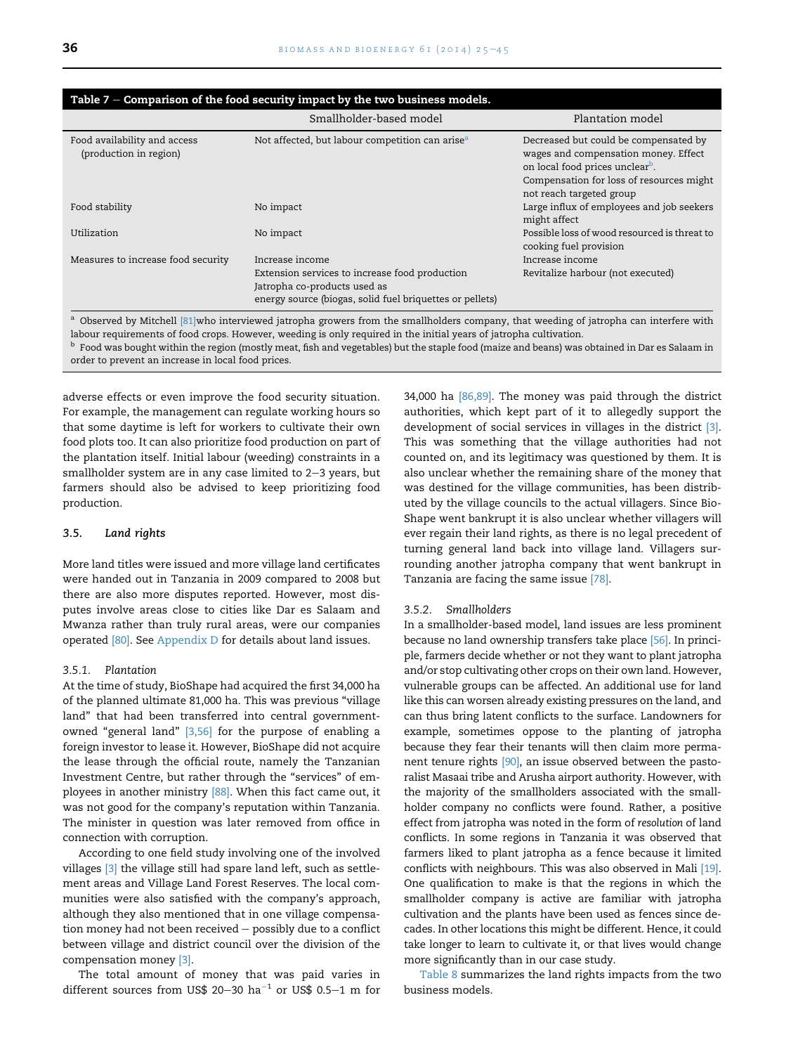<span id="page-11-0"></span>

|                                                        | Smallholder-based model                                     | Plantation model                                                                                                                                                                                     |
|--------------------------------------------------------|-------------------------------------------------------------|------------------------------------------------------------------------------------------------------------------------------------------------------------------------------------------------------|
| Food availability and access<br>(production in region) | Not affected, but labour competition can arise <sup>a</sup> | Decreased but could be compensated by<br>wages and compensation money. Effect<br>on local food prices unclear <sup>b</sup> .<br>Compensation for loss of resources might<br>not reach targeted group |
| Food stability                                         | No impact                                                   | Large influx of employees and job seekers<br>might affect                                                                                                                                            |
| Utilization                                            | No impact                                                   | Possible loss of wood resourced is threat to<br>cooking fuel provision                                                                                                                               |
| Measures to increase food security                     | Increase income                                             | Increase income                                                                                                                                                                                      |
|                                                        | Extension services to increase food production              | Revitalize harbour (not executed)                                                                                                                                                                    |
|                                                        | Jatropha co-products used as                                |                                                                                                                                                                                                      |
|                                                        | energy source (biogas, solid fuel briquettes or pellets)    |                                                                                                                                                                                                      |

<sup>a</sup> Observed by Mitchell [\[81\]w](#page-19-0)ho interviewed jatropha growers from the smallholders company, that weeding of jatropha can interfere with labour requirements of food crops. However, weeding is only required in the initial years of jatropha cultivation.

 $^{\rm b}$  Food was bought within the region (mostly meat, fish and vegetables) but the staple food (maize and beans) was obtained in Dar es Salaam in order to prevent an increase in local food prices.

adverse effects or even improve the food security situation. For example, the management can regulate working hours so that some daytime is left for workers to cultivate their own food plots too. It can also prioritize food production on part of the plantation itself. Initial labour (weeding) constraints in a smallholder system are in any case limited to  $2-3$  years, but farmers should also be advised to keep prioritizing food production.

#### 3.5. Land rights

More land titles were issued and more village land certificates were handed out in Tanzania in 2009 compared to 2008 but there are also more disputes reported. However, most disputes involve areas close to cities like Dar es Salaam and Mwanza rather than truly rural areas, were our companies operated [\[80\].](#page-19-0) See Appendix D for details about land issues.

#### 3.5.1. Plantation

At the time of study, BioShape had acquired the first 34,000 ha of the planned ultimate 81,000 ha. This was previous "village land" that had been transferred into central governmentowned "general land" [\[3,56\]](#page-17-0) for the purpose of enabling a foreign investor to lease it. However, BioShape did not acquire the lease through the official route, namely the Tanzanian Investment Centre, but rather through the "services" of employees in another ministry [\[88\]](#page-19-0). When this fact came out, it was not good for the company's reputation within Tanzania. The minister in question was later removed from office in connection with corruption.

According to one field study involving one of the involved villages [\[3\]](#page-17-0) the village still had spare land left, such as settlement areas and Village Land Forest Reserves. The local communities were also satisfied with the company's approach, although they also mentioned that in one village compensation money had not been received  $-$  possibly due to a conflict between village and district council over the division of the compensation money [\[3\].](#page-17-0)

The total amount of money that was paid varies in different sources from US\$ 20-30 ha<sup>-1</sup> or US\$ 0.5-1 m for

34,000 ha [\[86,89\]](#page-19-0). The money was paid through the district authorities, which kept part of it to allegedly support the development of social services in villages in the district [\[3\]](#page-17-0). This was something that the village authorities had not counted on, and its legitimacy was questioned by them. It is also unclear whether the remaining share of the money that was destined for the village communities, has been distributed by the village councils to the actual villagers. Since Bio-Shape went bankrupt it is also unclear whether villagers will ever regain their land rights, as there is no legal precedent of turning general land back into village land. Villagers surrounding another jatropha company that went bankrupt in Tanzania are facing the same issue [\[78\]](#page-19-0).

#### 3.5.2. Smallholders

In a smallholder-based model, land issues are less prominent because no land ownership transfers take place [\[56\]](#page-18-0). In principle, farmers decide whether or not they want to plant jatropha and/or stop cultivating other crops on their own land. However, vulnerable groups can be affected. An additional use for land like this can worsen already existing pressures on the land, and can thus bring latent conflicts to the surface. Landowners for example, sometimes oppose to the planting of jatropha because they fear their tenants will then claim more permanent tenure rights [\[90\]](#page-19-0), an issue observed between the pastoralist Masaai tribe and Arusha airport authority. However, with the majority of the smallholders associated with the smallholder company no conflicts were found. Rather, a positive effect from jatropha was noted in the form of resolution of land conflicts. In some regions in Tanzania it was observed that farmers liked to plant jatropha as a fence because it limited conflicts with neighbours. This was also observed in Mali [\[19\]](#page-17-0). One qualification to make is that the regions in which the smallholder company is active are familiar with jatropha cultivation and the plants have been used as fences since decades. In other locations this might be different. Hence, it could take longer to learn to cultivate it, or that lives would change more significantly than in our case study.

[Table 8](#page-12-0) summarizes the land rights impacts from the two business models.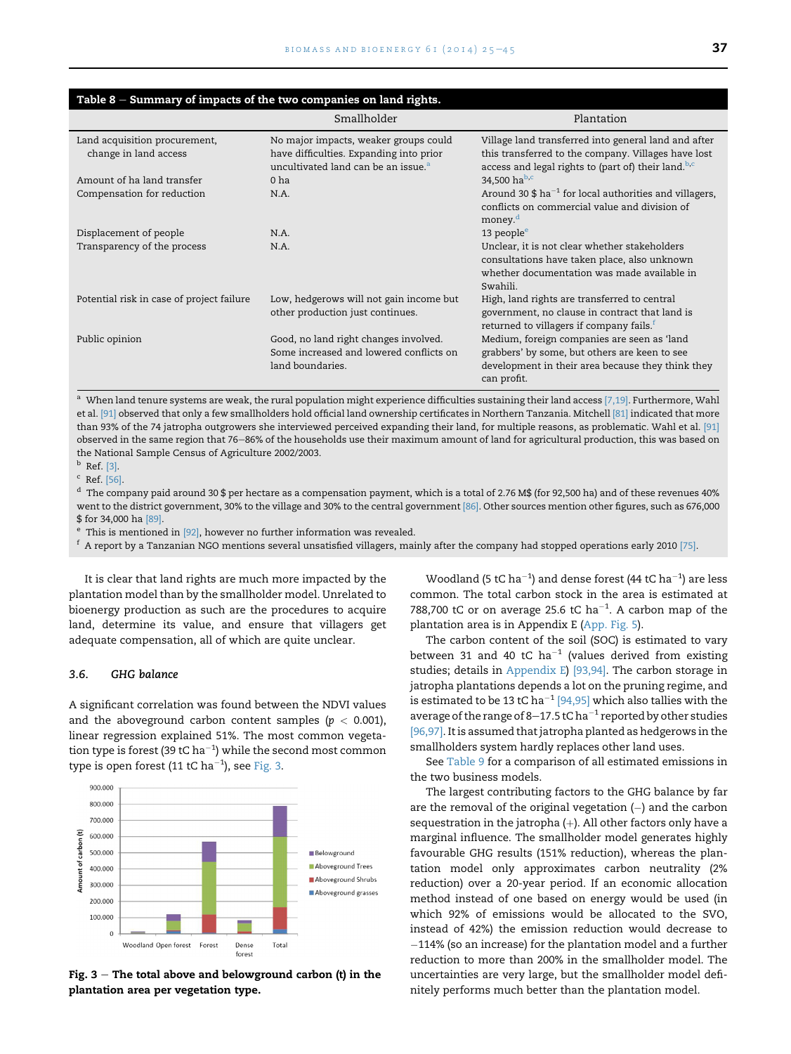#### <span id="page-12-0"></span>Table  $8 -$  Summary of impacts of the two companies on land rights.

|                                                        | Smallholder                                                                                                                         | Plantation                                                                                                                                                                     |
|--------------------------------------------------------|-------------------------------------------------------------------------------------------------------------------------------------|--------------------------------------------------------------------------------------------------------------------------------------------------------------------------------|
| Land acquisition procurement,<br>change in land access | No major impacts, weaker groups could<br>have difficulties. Expanding into prior<br>uncultivated land can be an issue. <sup>a</sup> | Village land transferred into general land and after<br>this transferred to the company. Villages have lost<br>access and legal rights to (part of) their land. <sup>b,c</sup> |
| Amount of ha land transfer                             | 0 <sub>ha</sub>                                                                                                                     | 34,500 $ha^{b,c}$                                                                                                                                                              |
| Compensation for reduction                             | N.A.                                                                                                                                | Around 30 $$$ ha <sup>-1</sup> for local authorities and villagers,<br>conflicts on commercial value and division of<br>money. <sup>d</sup>                                    |
| Displacement of people                                 | N.A.                                                                                                                                | 13 people $e$                                                                                                                                                                  |
| Transparency of the process                            | N.A.                                                                                                                                | Unclear, it is not clear whether stakeholders<br>consultations have taken place, also unknown<br>whether documentation was made available in<br>Swahili.                       |
| Potential risk in case of project failure              | Low, hedgerows will not gain income but<br>other production just continues.                                                         | High, land rights are transferred to central<br>government, no clause in contract that land is<br>returned to villagers if company fails. <sup>f</sup>                         |
| Public opinion                                         | Good, no land right changes involved.<br>Some increased and lowered conflicts on<br>land boundaries.                                | Medium, foreign companies are seen as 'land<br>grabbers' by some, but others are keen to see<br>development in their area because they think they<br>can profit.               |

 $^{\rm a}$  When land tenure systems are weak, the rural population might experience difficulties sustaining their land access [\[7,19\]](#page-17-0). Furthermore, Wahl et al. [\[91\]](#page-19-0) observed that only a few smallholders hold official land ownership certificates in Northern Tanzania. Mitchell [\[81\]](#page-19-0) indicated that more than 93% of the 74 jatropha outgrowers she interviewed perceived expanding their land, for multiple reasons, as problematic. Wahl et al. [\[91\]](#page-19-0) observed in the same region that 76-86% of the households use their maximum amount of land for agricultural production, this was based on the National Sample Census of Agriculture 2002/2003.

<sup>b</sup> Ref. [\[3\]](#page-17-0).

 $c$  Ref. [\[56\].](#page-18-0)

 $^{\rm d}$  The company paid around 30 \$ per hectare as a compensation payment, which is a total of 2.76 M\$ (for 92,500 ha) and of these revenues 40% went to the district government, 30% to the village and 30% to the central government [\[86\].](#page-19-0) Other sources mention other figures, such as 676,000 \$ for 34,000 ha [\[89\].](#page-19-0)

This is mentioned in  $[92]$ , however no further information was revealed.

 $^{\rm f}$  A report by a Tanzanian NGO mentions several unsatisfied villagers, mainly after the company had stopped operations early 2010 [\[75\]](#page-19-0).

It is clear that land rights are much more impacted by the plantation model than by the smallholder model. Unrelated to bioenergy production as such are the procedures to acquire land, determine its value, and ensure that villagers get adequate compensation, all of which are quite unclear.

## 3.6. GHG balance

A significant correlation was found between the NDVI values and the aboveground carbon content samples ( $p < 0.001$ ), linear regression explained 51%. The most common vegetation type is forest (39 tC ha $^{-1}$ ) while the second most common type is open forest (11 tC  $\rm{ha}^{-1}$ ), see Fig. 3.



Fig.  $3$  – The total above and belowground carbon (t) in the plantation area per vegetation type.

Woodland (5 tC ha $^{-1}$ ) and dense forest (44 tC ha $^{-1}$ ) are less common. The total carbon stock in the area is estimated at 788,700 tC or on average 25.6 tC  $ha^{-1}$ . A carbon map of the plantation area is in Appendix E (App. Fig. 5).

The carbon content of the soil (SOC) is estimated to vary between 31 and 40 tC  $ha^{-1}$  (values derived from existing studies; details in Appendix E) [\[93,94\]](#page-19-0). The carbon storage in jatropha plantations depends a lot on the pruning regime, and is estimated to be 13 tC ha $^{-1}$  [\[94,95\]](#page-19-0) which also tallies with the average of the range of 8–17.5 tC ha $^{-1}$  reported by other studies [\[96,97\].](#page-19-0) It is assumed that jatropha planted as hedgerows in the smallholders system hardly replaces other land uses.

See [Table 9](#page-13-0) for a comparison of all estimated emissions in the two business models.

The largest contributing factors to the GHG balance by far are the removal of the original vegetation  $(-)$  and the carbon sequestration in the jatropha  $(+)$ . All other factors only have a marginal influence. The smallholder model generates highly favourable GHG results (151% reduction), whereas the plantation model only approximates carbon neutrality (2% reduction) over a 20-year period. If an economic allocation method instead of one based on energy would be used (in which 92% of emissions would be allocated to the SVO, instead of 42%) the emission reduction would decrease to -114% (so an increase) for the plantation model and a further reduction to more than 200% in the smallholder model. The uncertainties are very large, but the smallholder model definitely performs much better than the plantation model.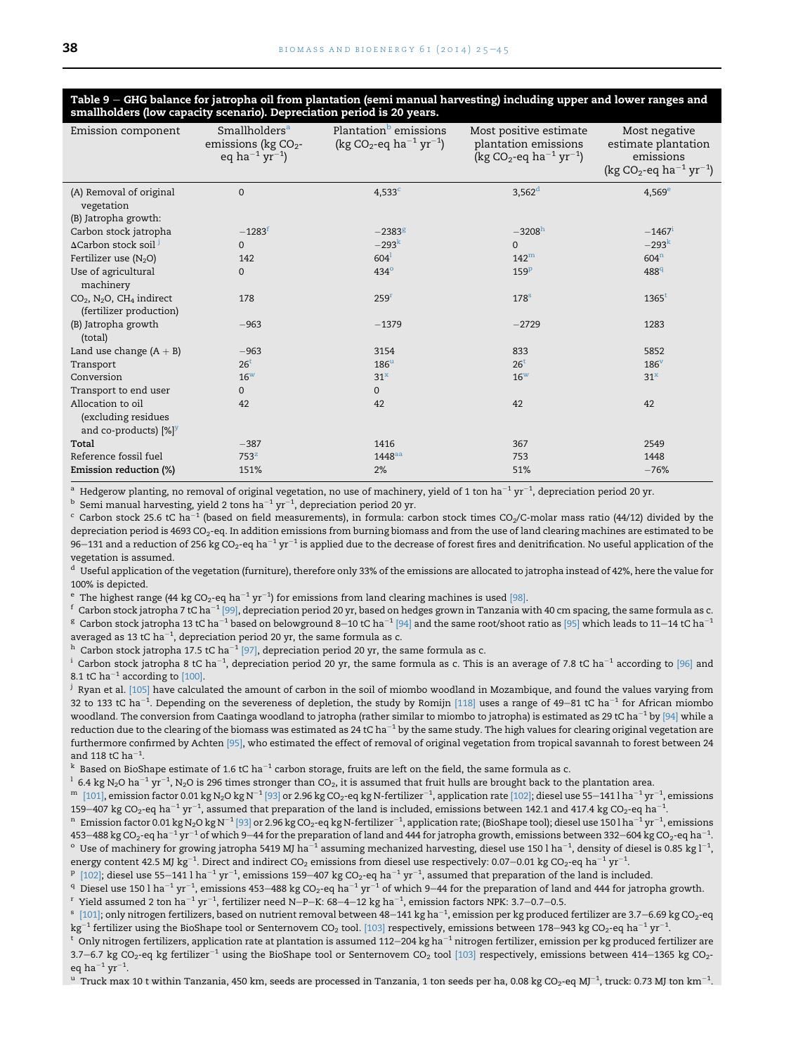| Emission component                                                                      | Smallholders <sup>a</sup><br>emissions (kg CO <sub>2</sub> -<br>eq ha <sup>-1</sup> yr <sup>-1</sup> ) | Plantation <sup>b</sup> emissions<br>(kg CO <sub>2</sub> -eq ha <sup>-1</sup> yr <sup>-1</sup> ) | Most positive estimate<br>plantation emissions<br>(kg CO <sub>2</sub> -eq ha <sup>-1</sup> yr <sup>-1</sup> ) | Most negative<br>estimate plantation<br>emissions<br>(kg CO <sub>2</sub> -eq ha <sup>-1</sup> yr <sup>-1</sup> ) |
|-----------------------------------------------------------------------------------------|--------------------------------------------------------------------------------------------------------|--------------------------------------------------------------------------------------------------|---------------------------------------------------------------------------------------------------------------|------------------------------------------------------------------------------------------------------------------|
| (A) Removal of original                                                                 | $\Omega$                                                                                               | $4,533^c$                                                                                        | $3,562^d$                                                                                                     | $4,569^e$                                                                                                        |
| vegetation                                                                              |                                                                                                        |                                                                                                  |                                                                                                               |                                                                                                                  |
| (B) Jatropha growth:                                                                    |                                                                                                        |                                                                                                  |                                                                                                               |                                                                                                                  |
| Carbon stock jatropha                                                                   | $-1283$ <sup>t</sup>                                                                                   | $-2383^{\rm g}$                                                                                  | $-3208^{\rm h}$                                                                                               | $-1467$ <sup>1</sup>                                                                                             |
| ACarbon stock soil <sup>j</sup>                                                         | $\Omega$                                                                                               | $-293^k$                                                                                         | $\Omega$                                                                                                      | $-293^k$                                                                                                         |
| Fertilizer use $(N_2O)$                                                                 | 142                                                                                                    | $604^1$                                                                                          | 142 <sup>m</sup>                                                                                              | $604^n$                                                                                                          |
| Use of agricultural<br>machinery                                                        | $\mathbf{0}$                                                                                           | $434^\circ$                                                                                      | 159 <sup>p</sup>                                                                                              | 488 <sup>q</sup>                                                                                                 |
| CO <sub>2</sub> , N <sub>2</sub> O, CH <sub>4</sub> indirect<br>(fertilizer production) | 178                                                                                                    | 259 <sup>r</sup>                                                                                 | 178 <sup>s</sup>                                                                                              | $1365^t$                                                                                                         |
| (B) Jatropha growth<br>(total)                                                          | $-963$                                                                                                 | $-1379$                                                                                          | $-2729$                                                                                                       | 1283                                                                                                             |
| Land use change $(A + B)$                                                               | $-963$                                                                                                 | 3154                                                                                             | 833                                                                                                           | 5852                                                                                                             |
| Transport                                                                               | 26 <sup>t</sup>                                                                                        | $186^{\mathrm{u}}$                                                                               | 26 <sup>t</sup>                                                                                               | 186 <sup>v</sup>                                                                                                 |
| Conversion                                                                              | $16^{\rm w}$                                                                                           | $31^x$                                                                                           | $16^{\rm w}$                                                                                                  | $31^x$                                                                                                           |
| Transport to end user                                                                   | $\mathbf{0}$                                                                                           | $\mathbf{0}$                                                                                     |                                                                                                               |                                                                                                                  |
| Allocation to oil                                                                       | 42                                                                                                     | 42                                                                                               | 42                                                                                                            | 42                                                                                                               |
| (excluding residues<br>and co-products) [%] <sup>y</sup>                                |                                                                                                        |                                                                                                  |                                                                                                               |                                                                                                                  |
| Total                                                                                   | $-387$                                                                                                 | 1416                                                                                             | 367                                                                                                           | 2549                                                                                                             |
| Reference fossil fuel                                                                   | $753^z$                                                                                                | 1448 <sup>aa</sup>                                                                               | 753                                                                                                           | 1448                                                                                                             |
| Emission reduction (%)                                                                  | 151%                                                                                                   | 2%                                                                                               | 51%                                                                                                           | $-76%$                                                                                                           |

## <span id="page-13-0"></span>Table 9 – GHG balance for jatropha oil from plantation (semi manual harvesting) including upper and lower ranges and smallholders (low capacity scenario). Depreciation period is 20 years.

 $^{\rm a}$  Hedgerow planting, no removal of original vegetation, no use of machinery, yield of 1 ton ha $^{-1}$  yr $^{-1}$ , depreciation period 20 yr.

 $^{\rm b}$  Semi manual harvesting, yield 2 tons ha $^{-1}$  yr $^{-1}$ , depreciation period 20 yr.

 $\rm ^c$  Carbon stock 25.6 tC ha $^{-1}$  (based on field measurements), in formula: carbon stock times CO<sub>2</sub>/C-molar mass ratio (44/12) divided by the depreciation period is 4693 CO<sub>2</sub>-eq. In addition emissions from burning biomass and from the use of land clearing machines are estimated to be 96–131 and a reduction of 256 kg CO<sub>2</sub>-eq ha $^{-1}$  yr $^{-1}$  is applied due to the decrease of forest fires and denitrification. No useful application of the vegetation is assumed.

 $^{\rm d}$  Useful application of the vegetation (furniture), therefore only 33% of the emissions are allocated to jatropha instead of 42%, here the value for 100% is depicted.

 $\rm ^e$  The highest range (44 kg CO $_2$ -eq ha $^{-1}$  yr $^{-1})$  for emissions from land clearing machines is used [\[98\]](#page-19-0).

 $^{\rm f}$  Carbon stock jatropha 7 tC ha $^{-1}$  [\[99\]](#page-19-0), depreciation period 20 yr, based on hedges grown in Tanzania with 40 cm spacing, the same formula as c.  $^{\circ}$  Carbon stock jatropha 13 tC ha $^{-1}$  based on belowground 8–10 tC ha $^{-1}$  [\[94\]](#page-19-0) and the same root/shoot ratio as [\[95\]](#page-19-0) which leads to 11–14 tC ha $^{-1}$ averaged as 13 tC ha $^{-1}$ , depreciation period 20 yr, the same formula as c.

 $^{\rm h}$  Carbon stock jatropha 17.5 tC ha $^{-1}$  [\[97\],](#page-19-0) depreciation period 20 yr, the same formula as c.

 $^{\rm i}$  Carbon stock jatropha 8 tC ha $^{-1}$ , depreciation period 20 yr, the same formula as c. This is an average of 7.8 tC ha $^{-1}$  according to [\[96\]](#page-19-0) and 8.1 tC ha $^{-1}$  according to [\[100\].](#page-19-0)

 $^\mathrm{j}$  Ryan et al. [\[105\]](#page-20-0) have calculated the amount of carbon in the soil of miombo woodland in Mozambique, and found the values varying from 32 to 133 tC ha<sup>-1</sup>. Depending on the severeness of depletion, the study by Romijn [\[118\]](#page-20-0) uses a range of 49–81 tC ha<sup>-1</sup> for African miombo woodland. The conversion from Caatinga woodland to jatropha (rather similar to miombo to jatropha) is estimated as 29 tC ha $^{-1}$  by [\[94\]](#page-19-0) while a reduction due to the clearing of the biomass was estimated as 24 tC ha $^{-1}$  by the same study. The high values for clearing original vegetation are furthermore confirmed by Achten [\[95\],](#page-19-0) who estimated the effect of removal of original vegetation from tropical savannah to forest between 24 and 118 tC ha $^{-1}$ .

 $^{\rm k}$  Based on BioShape estimate of 1.6 tC ha $^{-1}$  carbon storage, fruits are left on the field, the same formula as c.

 $^1\,$  6.4 kg N2O ha $^{-1}$  yr $^{-1}$ , N2O is 296 times stronger than CO $_2$ , it is assumed that fruit hulls are brought back to the plantation area.

 $^{\rm m}$  [\[101\]](#page-19-0), emission factor 0.01 kg N<sub>2</sub>O kg N<sup>−1</sup> [\[93\]](#page-19-0) or 2.96 kg CO<sub>2</sub>-eq kg N-fertilizer<sup>−1</sup>, application rate [\[102\]](#page-19-0); diesel use 55−141 l ha $^{-1}$  yr $^{-1}$ , emissions 159–407 kg CO<sub>2</sub>-eq ha<sup>-1</sup> yr<sup>-1</sup>, assumed that preparation of the land is included, emissions between 142.1 and 417.4 kg CO<sub>2</sub>-eq ha<sup>-1</sup>.

 $^{\rm n}$  Emission factor 0.01 kg N<sub>2</sub>O kg N<sup>−1</sup> [\[93\]](#page-19-0) or 2.96 kg CO<sub>2</sub>-eq kg N-fertilizer $^{-1}$ , application rate; (BioShape tool); diesel use 150 l ha $^{-1}$ yr $^{-1}$ , emissions 453–488 kg CO $_2$ -eq ha $^{-1}$  yr $^{-1}$  of which 9–44 for the preparation of land and 444 for jatropha growth, emissions between 332–604 kg CO $_2$ -eq ha $^{-1}$ .  $^\circ$  Use of machinery for growing jatropha 5419 MJ ha $^{-1}$  assuming mechanized harvesting, diesel use 150 l ha $^{-1}$ , density of diesel is 0.85 kg l $^{-1}$ , energy content 42.5 MJ kg<sup>-1</sup>. Direct and indirect CO<sub>2</sub> emissions from diesel use respectively: 0.07–0.01 kg CO<sub>2</sub>-eq ha<sup>-1</sup> yr<sup>-1</sup>.

 $^{\rm p}$  [\[102\]](#page-19-0); diesel use 55–141 l ha $^{-1}$  yr $^{-1}$ , emissions 159–407 kg CO $_2$ -eq ha $^{-1}$  yr $^{-1}$ , assumed that preparation of the land is included.

 $^{\rm q}$  Diesel use 150 l ha $^{-1}$  yr $^{-1}$ , emissions 453–488 kg CO $_2$ -eq ha $^{-1}$  yr $^{-1}$  of which 9–44 for the preparation of land and 444 for jatropha growth.

 $^{\rm r}$  Yield assumed 2 ton ha $^{-1}$  yr $^{-1}$ , fertilizer need N–P–K: 68–4–12 kg ha $^{-1}$ , emission factors NPK: 3.7–0.7–0.5.

 $^{\rm s}$  [\[101\];](#page-19-0) only nitrogen fertilizers, based on nutrient removal between 48–141 kg ha $^{-1}$ , emission per kg produced fertilizer are 3.7–6.69 kg CO $_2$ -eq kg $^{-1}$  fertilizer using the BioShape tool or Senternovem CO $_2$  tool. [\[103\]](#page-19-0) respectively, emissions between 178–943 kg CO $_2$ -eq ha $^{-1}$  yr $^{-1}\,$ 

 $^{\rm t}$  Only nitrogen fertilizers, application rate at plantation is assumed 112–204 kg ha $^{-1}$  nitrogen fertilizer, emission per kg produced fertilizer are 3.7–6.7 kg CO<sub>2</sub>-eq kg fertilizer<sup>-1</sup> using the BioShape tool or Senternovem CO<sub>2</sub> tool [\[103\]](#page-19-0) respectively, emissions between 414–1365 kg CO<sub>2</sub>· eq ha $^{-1}$  yr $^{-1}$ .

 $^{\rm u}$  Truck max 10 t within Tanzania, 450 km, seeds are processed in Tanzania, 1 ton seeds per ha, 0.08 kg CO $_2$ -eq MJ $^{-1}$ , truck: 0.73 MJ ton km $^{-1}$ .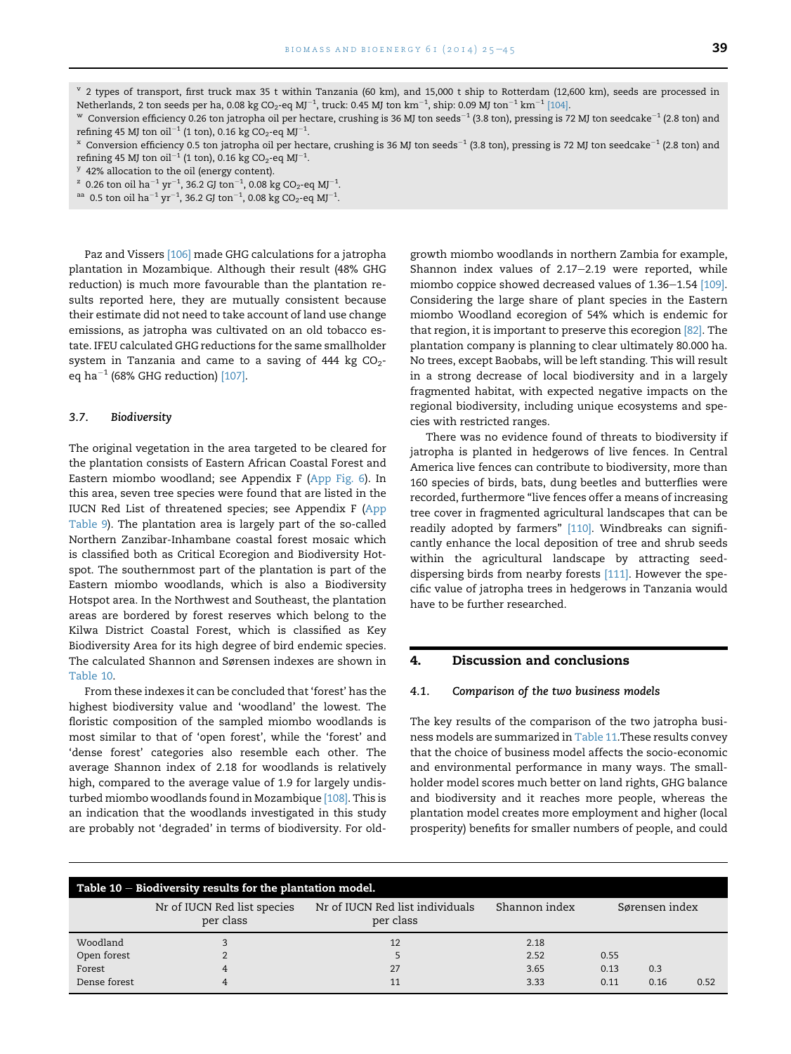<span id="page-14-0"></span> $\rm{v}$  2 types of transport, first truck max 35 t within Tanzania (60 km), and 15,000 t ship to Rotterdam (12,600 km), seeds are processed in Netherlands, 2 ton seeds per ha, 0.08 kg CO $_2$ -eq MJ $^{-1}$ , truck: 0.45 MJ ton km $^{-1}$ , ship: 0.09 MJ ton $^{-1}$  km $^{-1}$  [\[104\]](#page-20-0).

 $^{\rm w}$  Conversion efficiency 0.26 ton jatropha oil per hectare, crushing is 36 MJ ton seeds $^{-1}$  (3.8 ton), pressing is 72 MJ ton seedcake $^{-1}$  (2.8 ton) and refining 45 MJ ton oil $^{-1}$  (1 ton), 0.16 kg CO $_2$ -eq MJ $^{-1}$ .

 $^\mathrm{x}$  Conversion efficiency 0.5 ton jatropha oil per hectare, crushing is 36 MJ ton seeds $^{-1}$  (3.8 ton), pressing is 72 MJ ton seedcake $^{-1}$  (2.8 ton) and refining 45 MJ ton oil $^{-1}$  (1 ton), 0.16 kg CO $_2$ -eq MJ $^{-1}$ .

- $^{\rm z}$  0.26 ton oil ha $^{-1}$  yr $^{-1}$ , 36.2 GJ ton $^{-1}$ , 0.08 kg CO $_2$ -eq MJ $^{-1}$ .
- $^{\rm aa}$  0.5 ton oil ha $^{-1}$  yr $^{-1}$ , 36.2 GJ ton $^{-1}$ , 0.08 kg CO $_2$ -eq MJ $^{-1}$ .

Paz and Vissers [\[106\]](#page-20-0) made GHG calculations for a jatropha plantation in Mozambique. Although their result (48% GHG reduction) is much more favourable than the plantation results reported here, they are mutually consistent because their estimate did not need to take account of land use change emissions, as jatropha was cultivated on an old tobacco estate. IFEU calculated GHG reductions for the same smallholder system in Tanzania and came to a saving of 444 kg  $CO<sub>2</sub>$ eq ha $^{-1}$  (68% GHG reduction) [\[107\].](#page-20-0)

#### 3.7. Biodiversity

The original vegetation in the area targeted to be cleared for the plantation consists of Eastern African Coastal Forest and Eastern miombo woodland; see Appendix F (App Fig. 6). In this area, seven tree species were found that are listed in the IUCN Red List of threatened species; see Appendix F (App Table 9). The plantation area is largely part of the so-called Northern Zanzibar-Inhambane coastal forest mosaic which is classified both as Critical Ecoregion and Biodiversity Hotspot. The southernmost part of the plantation is part of the Eastern miombo woodlands, which is also a Biodiversity Hotspot area. In the Northwest and Southeast, the plantation areas are bordered by forest reserves which belong to the Kilwa District Coastal Forest, which is classified as Key Biodiversity Area for its high degree of bird endemic species. The calculated Shannon and Sørensen indexes are shown in Table 10.

From these indexes it can be concluded that 'forest' has the highest biodiversity value and 'woodland' the lowest. The floristic composition of the sampled miombo woodlands is most similar to that of 'open forest', while the 'forest' and 'dense forest' categories also resemble each other. The average Shannon index of 2.18 for woodlands is relatively high, compared to the average value of 1.9 for largely undisturbed miombo woodlands found in Mozambique [\[108\].](#page-20-0) This is an indication that the woodlands investigated in this study are probably not 'degraded' in terms of biodiversity. For oldgrowth miombo woodlands in northern Zambia for example, Shannon index values of  $2.17-2.19$  were reported, while miombo coppice showed decreased values of  $1.36-1.54$  [\[109\].](#page-20-0) Considering the large share of plant species in the Eastern miombo Woodland ecoregion of 54% which is endemic for that region, it is important to preserve this ecoregion [\[82\].](#page-19-0) The plantation company is planning to clear ultimately 80.000 ha. No trees, except Baobabs, will be left standing. This will result in a strong decrease of local biodiversity and in a largely fragmented habitat, with expected negative impacts on the regional biodiversity, including unique ecosystems and species with restricted ranges.

There was no evidence found of threats to biodiversity if jatropha is planted in hedgerows of live fences. In Central America live fences can contribute to biodiversity, more than 160 species of birds, bats, dung beetles and butterflies were recorded, furthermore "live fences offer a means of increasing tree cover in fragmented agricultural landscapes that can be readily adopted by farmers" [\[110\]](#page-20-0). Windbreaks can significantly enhance the local deposition of tree and shrub seeds within the agricultural landscape by attracting seeddispersing birds from nearby forests [\[111\]](#page-20-0). However the specific value of jatropha trees in hedgerows in Tanzania would have to be further researched.

#### 4. Discussion and conclusions

#### 4.1. Comparison of the two business models

The key results of the comparison of the two jatropha business models are summarized in [Table 11.](#page-15-0)These results convey that the choice of business model affects the socio-economic and environmental performance in many ways. The smallholder model scores much better on land rights, GHG balance and biodiversity and it reaches more people, whereas the plantation model creates more employment and higher (local prosperity) benefits for smaller numbers of people, and could

| Table $10$ – Biodiversity results for the plantation model. |                                          |                                              |               |      |                |      |  |
|-------------------------------------------------------------|------------------------------------------|----------------------------------------------|---------------|------|----------------|------|--|
|                                                             | Nr of IUCN Red list species<br>per class | Nr of IUCN Red list individuals<br>per class | Shannon index |      | Sørensen index |      |  |
| Woodland                                                    |                                          | 12                                           | 2.18          |      |                |      |  |
| Open forest                                                 |                                          |                                              | 2.52          | 0.55 |                |      |  |
| Forest                                                      | 4                                        | 27                                           | 3.65          | 0.13 | 0.3            |      |  |
| Dense forest                                                |                                          | 11                                           | 3.33          | 0.11 | 0.16           | 0.52 |  |

 $y$  42% allocation to the oil (energy content).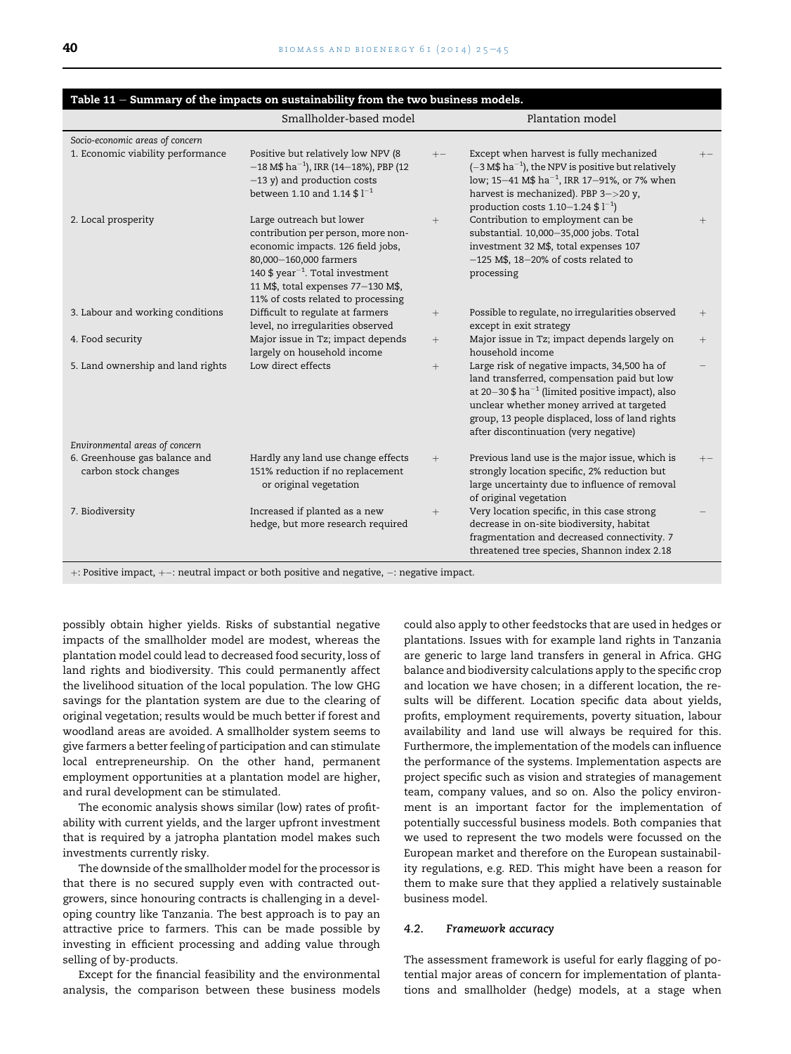|                                                       | Smallholder-based model                                                                                                                                                                                                                        |        | Plantation model                                                                                                                                                                                                                                                                                      |        |
|-------------------------------------------------------|------------------------------------------------------------------------------------------------------------------------------------------------------------------------------------------------------------------------------------------------|--------|-------------------------------------------------------------------------------------------------------------------------------------------------------------------------------------------------------------------------------------------------------------------------------------------------------|--------|
| Socio-economic areas of concern                       |                                                                                                                                                                                                                                                |        |                                                                                                                                                                                                                                                                                                       |        |
| 1. Economic viability performance                     | Positive but relatively low NPV (8<br>$-18$ M\$ ha $^{-1}$ ), IRR (14 $-18\%$ ), PBP (12<br>$-13$ y) and production costs<br>between 1.10 and 1.14 \$ $1^{-1}$                                                                                 | $+-$   | Except when harvest is fully mechanized<br>$(-3 M$$ ha <sup>-1</sup> ), the NPV is positive but relatively<br>low; 15–41 M\$ ha <sup>-1</sup> , IRR 17–91%, or 7% when<br>harvest is mechanized). PBP 3->20 y,<br>production costs $1.10 - 1.24 \$ l^{-1}$ )                                          | $+-$   |
| 2. Local prosperity                                   | Large outreach but lower<br>contribution per person, more non-<br>economic impacts. 126 field jobs,<br>80,000-160,000 farmers<br>140 $$ year-1$ . Total investment<br>11 M\$, total expenses 77-130 M\$,<br>11% of costs related to processing | $+$    | Contribution to employment can be<br>substantial. 10,000-35,000 jobs. Total<br>investment 32 M\$, total expenses 107<br>$-125$ M\$, 18-20% of costs related to<br>processing                                                                                                                          | $^{+}$ |
| 3. Labour and working conditions                      | Difficult to regulate at farmers<br>level, no irregularities observed                                                                                                                                                                          | $^{+}$ | Possible to regulate, no irregularities observed<br>except in exit strategy                                                                                                                                                                                                                           | $^{+}$ |
| 4. Food security                                      | Major issue in Tz; impact depends<br>largely on household income                                                                                                                                                                               | $^{+}$ | Major issue in Tz; impact depends largely on<br>household income                                                                                                                                                                                                                                      | $^{+}$ |
| 5. Land ownership and land rights                     | Low direct effects                                                                                                                                                                                                                             |        | Large risk of negative impacts, 34,500 ha of<br>land transferred, compensation paid but low<br>at 20-30 $$$ ha <sup>-1</sup> (limited positive impact), also<br>unclear whether money arrived at targeted<br>group, 13 people displaced, loss of land rights<br>after discontinuation (very negative) |        |
| Environmental areas of concern                        |                                                                                                                                                                                                                                                |        |                                                                                                                                                                                                                                                                                                       |        |
| 6. Greenhouse gas balance and<br>carbon stock changes | Hardly any land use change effects<br>151% reduction if no replacement<br>or original vegetation                                                                                                                                               | $+$    | Previous land use is the major issue, which is<br>strongly location specific, 2% reduction but<br>large uncertainty due to influence of removal<br>of original vegetation                                                                                                                             | $+-$   |
| 7. Biodiversity                                       | Increased if planted as a new<br>hedge, but more research required<br>$\therefore$ Positive impact $\therefore$ neutral impact or both positive and perstive $\therefore$ negative impact                                                      | $+$    | Very location specific, in this case strong<br>decrease in on-site biodiversity, habitat<br>fragmentation and decreased connectivity. 7<br>threatened tree species, Shannon index 2.18                                                                                                                |        |

## <span id="page-15-0"></span>Table  $11 -$  Summary of the impacts on sustainability from the two business models.

 $+$ : Positive impact,  $+-$ : neutral impact or both positive and negative,  $-$ : negative impact.

possibly obtain higher yields. Risks of substantial negative impacts of the smallholder model are modest, whereas the plantation model could lead to decreased food security, loss of land rights and biodiversity. This could permanently affect the livelihood situation of the local population. The low GHG savings for the plantation system are due to the clearing of original vegetation; results would be much better if forest and woodland areas are avoided. A smallholder system seems to give farmers a better feeling of participation and can stimulate local entrepreneurship. On the other hand, permanent employment opportunities at a plantation model are higher, and rural development can be stimulated.

The economic analysis shows similar (low) rates of profitability with current yields, and the larger upfront investment that is required by a jatropha plantation model makes such investments currently risky.

The downside of the smallholder model for the processor is that there is no secured supply even with contracted outgrowers, since honouring contracts is challenging in a developing country like Tanzania. The best approach is to pay an attractive price to farmers. This can be made possible by investing in efficient processing and adding value through selling of by-products.

Except for the financial feasibility and the environmental analysis, the comparison between these business models could also apply to other feedstocks that are used in hedges or plantations. Issues with for example land rights in Tanzania are generic to large land transfers in general in Africa. GHG balance and biodiversity calculations apply to the specific crop and location we have chosen; in a different location, the results will be different. Location specific data about yields, profits, employment requirements, poverty situation, labour availability and land use will always be required for this. Furthermore, the implementation of the models can influence the performance of the systems. Implementation aspects are project specific such as vision and strategies of management team, company values, and so on. Also the policy environment is an important factor for the implementation of potentially successful business models. Both companies that we used to represent the two models were focussed on the European market and therefore on the European sustainability regulations, e.g. RED. This might have been a reason for them to make sure that they applied a relatively sustainable business model.

## 4.2. Framework accuracy

The assessment framework is useful for early flagging of potential major areas of concern for implementation of plantations and smallholder (hedge) models, at a stage when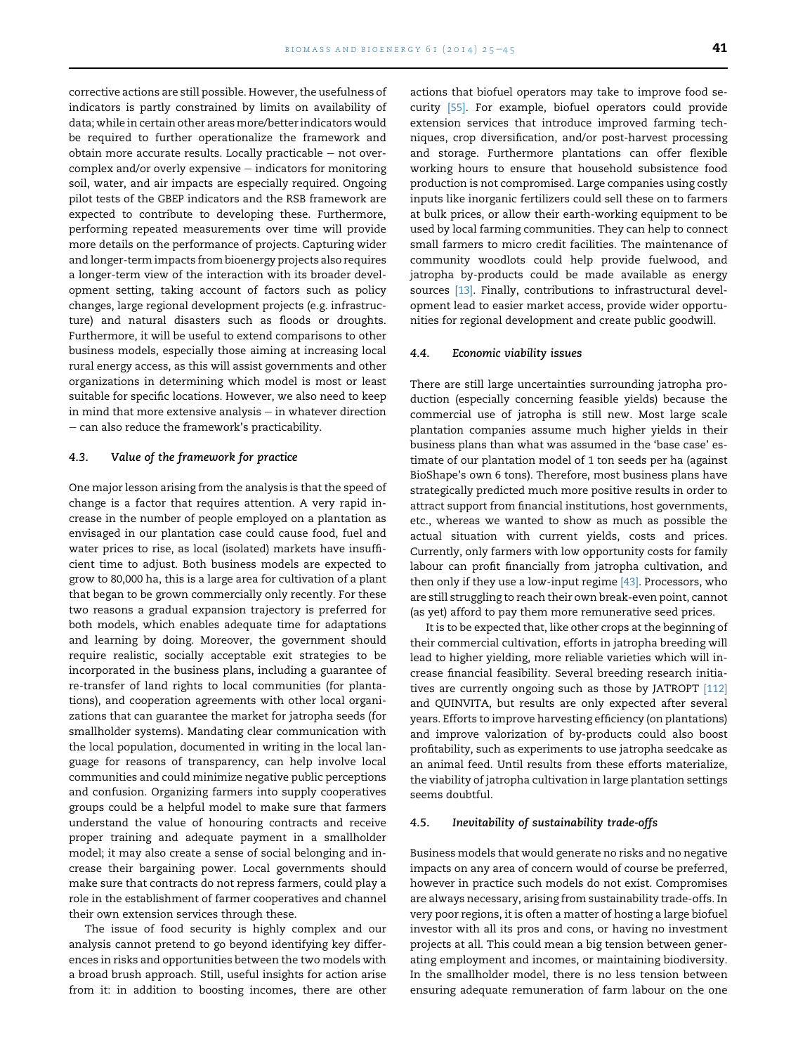corrective actions are still possible. However, the usefulness of indicators is partly constrained by limits on availability of data; while in certain other areas more/better indicators would be required to further operationalize the framework and obtain more accurate results. Locally practicable  $-$  not overcomplex and/or overly expensive  $-$  indicators for monitoring soil, water, and air impacts are especially required. Ongoing pilot tests of the GBEP indicators and the RSB framework are expected to contribute to developing these. Furthermore, performing repeated measurements over time will provide more details on the performance of projects. Capturing wider and longer-term impacts from bioenergy projects also requires a longer-term view of the interaction with its broader development setting, taking account of factors such as policy changes, large regional development projects (e.g. infrastructure) and natural disasters such as floods or droughts. Furthermore, it will be useful to extend comparisons to other business models, especially those aiming at increasing local rural energy access, as this will assist governments and other organizations in determining which model is most or least suitable for specific locations. However, we also need to keep in mind that more extensive analysis  $-$  in whatever direction  $-$  can also reduce the framework's practicability.

## 4.3. Value of the framework for practice

One major lesson arising from the analysis is that the speed of change is a factor that requires attention. A very rapid increase in the number of people employed on a plantation as envisaged in our plantation case could cause food, fuel and water prices to rise, as local (isolated) markets have insufficient time to adjust. Both business models are expected to grow to 80,000 ha, this is a large area for cultivation of a plant that began to be grown commercially only recently. For these two reasons a gradual expansion trajectory is preferred for both models, which enables adequate time for adaptations and learning by doing. Moreover, the government should require realistic, socially acceptable exit strategies to be incorporated in the business plans, including a guarantee of re-transfer of land rights to local communities (for plantations), and cooperation agreements with other local organizations that can guarantee the market for jatropha seeds (for smallholder systems). Mandating clear communication with the local population, documented in writing in the local language for reasons of transparency, can help involve local communities and could minimize negative public perceptions and confusion. Organizing farmers into supply cooperatives groups could be a helpful model to make sure that farmers understand the value of honouring contracts and receive proper training and adequate payment in a smallholder model; it may also create a sense of social belonging and increase their bargaining power. Local governments should make sure that contracts do not repress farmers, could play a role in the establishment of farmer cooperatives and channel their own extension services through these.

The issue of food security is highly complex and our analysis cannot pretend to go beyond identifying key differences in risks and opportunities between the two models with a broad brush approach. Still, useful insights for action arise from it: in addition to boosting incomes, there are other actions that biofuel operators may take to improve food security [\[55\].](#page-18-0) For example, biofuel operators could provide extension services that introduce improved farming techniques, crop diversification, and/or post-harvest processing and storage. Furthermore plantations can offer flexible working hours to ensure that household subsistence food production is not compromised. Large companies using costly inputs like inorganic fertilizers could sell these on to farmers at bulk prices, or allow their earth-working equipment to be used by local farming communities. They can help to connect small farmers to micro credit facilities. The maintenance of community woodlots could help provide fuelwood, and jatropha by-products could be made available as energy sources [\[13\]](#page-17-0). Finally, contributions to infrastructural development lead to easier market access, provide wider opportunities for regional development and create public goodwill.

#### 4.4. Economic viability issues

There are still large uncertainties surrounding jatropha production (especially concerning feasible yields) because the commercial use of jatropha is still new. Most large scale plantation companies assume much higher yields in their business plans than what was assumed in the 'base case' estimate of our plantation model of 1 ton seeds per ha (against BioShape's own 6 tons). Therefore, most business plans have strategically predicted much more positive results in order to attract support from financial institutions, host governments, etc., whereas we wanted to show as much as possible the actual situation with current yields, costs and prices. Currently, only farmers with low opportunity costs for family labour can profit financially from jatropha cultivation, and then only if they use a low-input regime [\[43\]](#page-18-0). Processors, who are still struggling to reach their own break-even point, cannot (as yet) afford to pay them more remunerative seed prices.

It is to be expected that, like other crops at the beginning of their commercial cultivation, efforts in jatropha breeding will lead to higher yielding, more reliable varieties which will increase financial feasibility. Several breeding research initiatives are currently ongoing such as those by JATROPT [\[112\]](#page-20-0) and QUINVITA, but results are only expected after several years. Efforts to improve harvesting efficiency (on plantations) and improve valorization of by-products could also boost profitability, such as experiments to use jatropha seedcake as an animal feed. Until results from these efforts materialize, the viability of jatropha cultivation in large plantation settings seems doubtful.

## 4.5. Inevitability of sustainability trade-offs

Business models that would generate no risks and no negative impacts on any area of concern would of course be preferred, however in practice such models do not exist. Compromises are always necessary, arising from sustainability trade-offs. In very poor regions, it is often a matter of hosting a large biofuel investor with all its pros and cons, or having no investment projects at all. This could mean a big tension between generating employment and incomes, or maintaining biodiversity. In the smallholder model, there is no less tension between ensuring adequate remuneration of farm labour on the one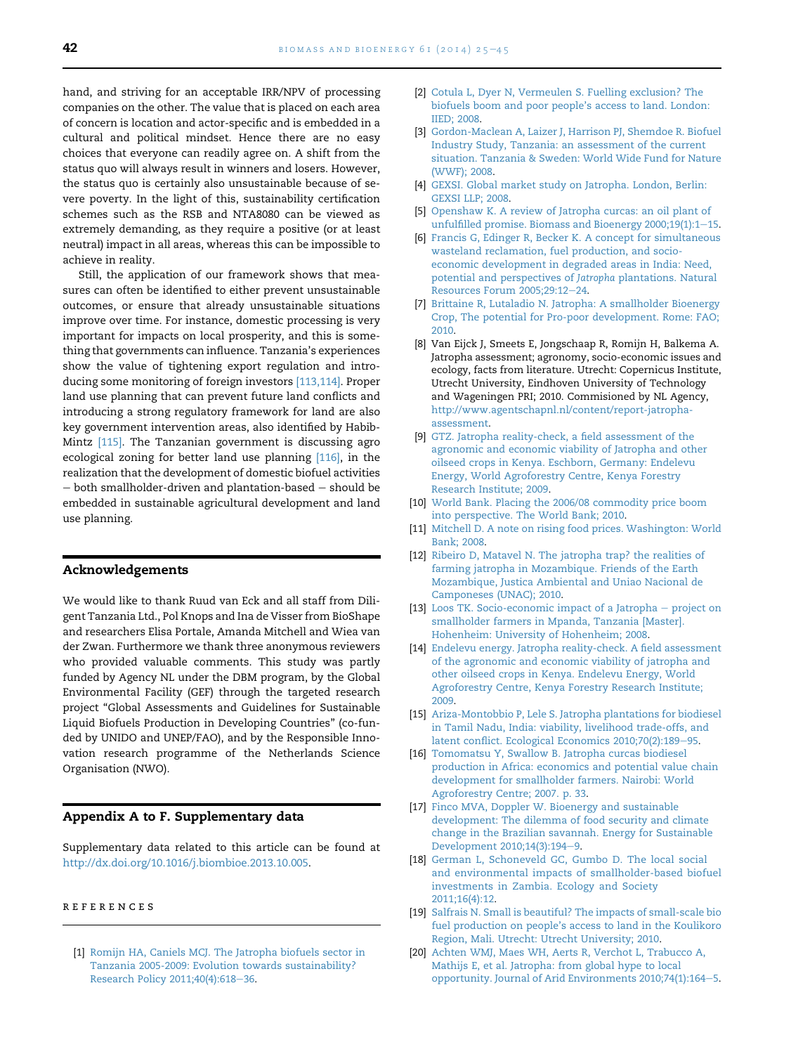<span id="page-17-0"></span>hand, and striving for an acceptable IRR/NPV of processing companies on the other. The value that is placed on each area of concern is location and actor-specific and is embedded in a cultural and political mindset. Hence there are no easy choices that everyone can readily agree on. A shift from the status quo will always result in winners and losers. However, the status quo is certainly also unsustainable because of severe poverty. In the light of this, sustainability certification schemes such as the RSB and NTA8080 can be viewed as extremely demanding, as they require a positive (or at least neutral) impact in all areas, whereas this can be impossible to achieve in reality.

Still, the application of our framework shows that measures can often be identified to either prevent unsustainable outcomes, or ensure that already unsustainable situations improve over time. For instance, domestic processing is very important for impacts on local prosperity, and this is something that governments can influence. Tanzania's experiences show the value of tightening export regulation and introducing some monitoring of foreign investors [\[113,114\]](#page-20-0). Proper land use planning that can prevent future land conflicts and introducing a strong regulatory framework for land are also key government intervention areas, also identified by Habib-Mintz [\[115\].](#page-20-0) The Tanzanian government is discussing agro ecological zoning for better land use planning [\[116\]](#page-20-0), in the realization that the development of domestic biofuel activities  $-$  both smallholder-driven and plantation-based  $-$  should be embedded in sustainable agricultural development and land use planning.

## Acknowledgements

We would like to thank Ruud van Eck and all staff from Diligent Tanzania Ltd., Pol Knops and Ina de Visser from BioShape and researchers Elisa Portale, Amanda Mitchell and Wiea van der Zwan. Furthermore we thank three anonymous reviewers who provided valuable comments. This study was partly funded by Agency NL under the DBM program, by the Global Environmental Facility (GEF) through the targeted research project "Global Assessments and Guidelines for Sustainable Liquid Biofuels Production in Developing Countries" (co-funded by UNIDO and UNEP/FAO), and by the Responsible Innovation research programme of the Netherlands Science Organisation (NWO).

## Appendix A to F. Supplementary data

Supplementary data related to this article can be found at <http://dx.doi.org/10.1016/j.biombioe.2013.10.005>.

## references

[1] [Romijn HA, Caniels MCJ. The Jatropha biofuels sector in](http://refhub.elsevier.com/S0961-9534(13)00427-3/sref1) [Tanzania 2005-2009: Evolution towards sustainability?](http://refhub.elsevier.com/S0961-9534(13)00427-3/sref1) [Research Policy 2011;40\(4\):618](http://refhub.elsevier.com/S0961-9534(13)00427-3/sref1)-[36.](http://refhub.elsevier.com/S0961-9534(13)00427-3/sref1)

- [2] [Cotula L, Dyer N, Vermeulen S. Fuelling exclusion? The](http://refhub.elsevier.com/S0961-9534(13)00427-3/sref2) [biofuels boom and poor people's access to land. London:](http://refhub.elsevier.com/S0961-9534(13)00427-3/sref2) [IIED; 2008](http://refhub.elsevier.com/S0961-9534(13)00427-3/sref2).
- [3] [Gordon-Maclean A, Laizer J, Harrison PJ, Shemdoe R. Biofuel](http://refhub.elsevier.com/S0961-9534(13)00427-3/sref3) [Industry Study, Tanzania: an assessment of the current](http://refhub.elsevier.com/S0961-9534(13)00427-3/sref3) [situation. Tanzania & Sweden: World Wide Fund for Nature](http://refhub.elsevier.com/S0961-9534(13)00427-3/sref3) [\(WWF\); 2008.](http://refhub.elsevier.com/S0961-9534(13)00427-3/sref3)
- [4] [GEXSI. Global market study on Jatropha. London, Berlin:](http://refhub.elsevier.com/S0961-9534(13)00427-3/sref4) [GEXSI LLP; 2008](http://refhub.elsevier.com/S0961-9534(13)00427-3/sref4).
- [5] [Openshaw K. A review of Jatropha curcas: an oil plant of](http://refhub.elsevier.com/S0961-9534(13)00427-3/sref5) [unfulfilled promise. Biomass and Bioenergy 2000;19\(1\):1](http://refhub.elsevier.com/S0961-9534(13)00427-3/sref5)-[15](http://refhub.elsevier.com/S0961-9534(13)00427-3/sref5).
- [6] [Francis G, Edinger R, Becker K. A concept for simultaneous](http://refhub.elsevier.com/S0961-9534(13)00427-3/sref6) [wasteland reclamation, fuel production, and socio](http://refhub.elsevier.com/S0961-9534(13)00427-3/sref6)[economic development in degraded areas in India: Need,](http://refhub.elsevier.com/S0961-9534(13)00427-3/sref6) [potential and perspectives of](http://refhub.elsevier.com/S0961-9534(13)00427-3/sref6) Jatropha plantations. Natural [Resources Forum 2005;29:12](http://refhub.elsevier.com/S0961-9534(13)00427-3/sref6)-[24](http://refhub.elsevier.com/S0961-9534(13)00427-3/sref6).
- [7] [Brittaine R, Lutaladio N. Jatropha: A smallholder Bioenergy](http://refhub.elsevier.com/S0961-9534(13)00427-3/sref7) [Crop, The potential for Pro-poor development. Rome: FAO;](http://refhub.elsevier.com/S0961-9534(13)00427-3/sref7) [2010.](http://refhub.elsevier.com/S0961-9534(13)00427-3/sref7)
- [8] Van Eijck J, Smeets E, Jongschaap R, Romijn H, Balkema A. Jatropha assessment; agronomy, socio-economic issues and ecology, facts from literature. Utrecht: Copernicus Institute, Utrecht University, Eindhoven University of Technology and Wageningen PRI; 2010. Commisioned by NL Agency, [http://www.agentschapnl.nl/content/report-jatropha](http://www.agentschapnl.nl/content/report-jatropha-assessment)[assessment.](http://www.agentschapnl.nl/content/report-jatropha-assessment)
- [9] [GTZ. Jatropha reality-check, a field assessment of the](http://refhub.elsevier.com/S0961-9534(13)00427-3/sref9) [agronomic and economic viability of Jatropha and other](http://refhub.elsevier.com/S0961-9534(13)00427-3/sref9) [oilseed crops in Kenya. Eschborn, Germany: Endelevu](http://refhub.elsevier.com/S0961-9534(13)00427-3/sref9) [Energy, World Agroforestry Centre, Kenya Forestry](http://refhub.elsevier.com/S0961-9534(13)00427-3/sref9) [Research Institute; 2009](http://refhub.elsevier.com/S0961-9534(13)00427-3/sref9).
- [10] [World Bank. Placing the 2006/08 commodity price boom](http://refhub.elsevier.com/S0961-9534(13)00427-3/sref10) [into perspective. The World Bank; 2010](http://refhub.elsevier.com/S0961-9534(13)00427-3/sref10).
- [11] [Mitchell D. A note on rising food prices. Washington: World](http://refhub.elsevier.com/S0961-9534(13)00427-3/sref11) [Bank; 2008.](http://refhub.elsevier.com/S0961-9534(13)00427-3/sref11)
- [12] [Ribeiro D, Matavel N. The jatropha trap? the realities of](http://refhub.elsevier.com/S0961-9534(13)00427-3/sref12) [farming jatropha in Mozambique. Friends of the Earth](http://refhub.elsevier.com/S0961-9534(13)00427-3/sref12) [Mozambique, Justica Ambiental and Uniao Nacional de](http://refhub.elsevier.com/S0961-9534(13)00427-3/sref12) [Camponeses \(UNAC\); 2010](http://refhub.elsevier.com/S0961-9534(13)00427-3/sref12).
- [13] [Loos TK. Socio-economic impact of a Jatropha](http://refhub.elsevier.com/S0961-9534(13)00427-3/sref13) [project on](http://refhub.elsevier.com/S0961-9534(13)00427-3/sref13) [smallholder farmers in Mpanda, Tanzania \[Master\].](http://refhub.elsevier.com/S0961-9534(13)00427-3/sref13) [Hohenheim: University of Hohenheim; 2008.](http://refhub.elsevier.com/S0961-9534(13)00427-3/sref13)
- [14] [Endelevu energy. Jatropha reality-check. A field assessment](http://refhub.elsevier.com/S0961-9534(13)00427-3/sref14) [of the agronomic and economic viability of jatropha and](http://refhub.elsevier.com/S0961-9534(13)00427-3/sref14) [other oilseed crops in Kenya. Endelevu Energy, World](http://refhub.elsevier.com/S0961-9534(13)00427-3/sref14) [Agroforestry Centre, Kenya Forestry Research Institute;](http://refhub.elsevier.com/S0961-9534(13)00427-3/sref14) [2009.](http://refhub.elsevier.com/S0961-9534(13)00427-3/sref14)
- [15] [Ariza-Montobbio P, Lele S. Jatropha plantations for biodiesel](http://refhub.elsevier.com/S0961-9534(13)00427-3/sref15) [in Tamil Nadu, India: viability, livelihood trade-offs, and](http://refhub.elsevier.com/S0961-9534(13)00427-3/sref15) [latent conflict. Ecological Economics 2010;70\(2\):189](http://refhub.elsevier.com/S0961-9534(13)00427-3/sref15)-[95.](http://refhub.elsevier.com/S0961-9534(13)00427-3/sref15)
- [16] [Tomomatsu Y, Swallow B. Jatropha curcas biodiesel](http://refhub.elsevier.com/S0961-9534(13)00427-3/sref16) [production in Africa: economics and potential value chain](http://refhub.elsevier.com/S0961-9534(13)00427-3/sref16) [development for smallholder farmers. Nairobi: World](http://refhub.elsevier.com/S0961-9534(13)00427-3/sref16) [Agroforestry Centre; 2007. p. 33](http://refhub.elsevier.com/S0961-9534(13)00427-3/sref16).
- [17] [Finco MVA, Doppler W. Bioenergy and sustainable](http://refhub.elsevier.com/S0961-9534(13)00427-3/sref17) [development: The dilemma of food security and climate](http://refhub.elsevier.com/S0961-9534(13)00427-3/sref17) [change in the Brazilian savannah. Energy for Sustainable](http://refhub.elsevier.com/S0961-9534(13)00427-3/sref17) [Development 2010;14\(3\):194](http://refhub.elsevier.com/S0961-9534(13)00427-3/sref17)-[9.](http://refhub.elsevier.com/S0961-9534(13)00427-3/sref17)
- [18] [German L, Schoneveld GC, Gumbo D. The local social](http://refhub.elsevier.com/S0961-9534(13)00427-3/sref18) [and environmental impacts of smallholder-based biofuel](http://refhub.elsevier.com/S0961-9534(13)00427-3/sref18) [investments in Zambia. Ecology and Society](http://refhub.elsevier.com/S0961-9534(13)00427-3/sref18) [2011;16\(4\):12](http://refhub.elsevier.com/S0961-9534(13)00427-3/sref18).
- [19] [Salfrais N. Small is beautiful? The impacts of small-scale bio](http://refhub.elsevier.com/S0961-9534(13)00427-3/sref19) [fuel production on people's access to land in the Koulikoro](http://refhub.elsevier.com/S0961-9534(13)00427-3/sref19) [Region, Mali. Utrecht: Utrecht University; 2010.](http://refhub.elsevier.com/S0961-9534(13)00427-3/sref19)
- [20] [Achten WMJ, Maes WH, Aerts R, Verchot L, Trabucco A,](http://refhub.elsevier.com/S0961-9534(13)00427-3/sref20) [Mathijs E, et al. Jatropha: from global hype to local](http://refhub.elsevier.com/S0961-9534(13)00427-3/sref20) [opportunity. Journal of Arid Environments 2010;74\(1\):164](http://refhub.elsevier.com/S0961-9534(13)00427-3/sref20)-[5](http://refhub.elsevier.com/S0961-9534(13)00427-3/sref20).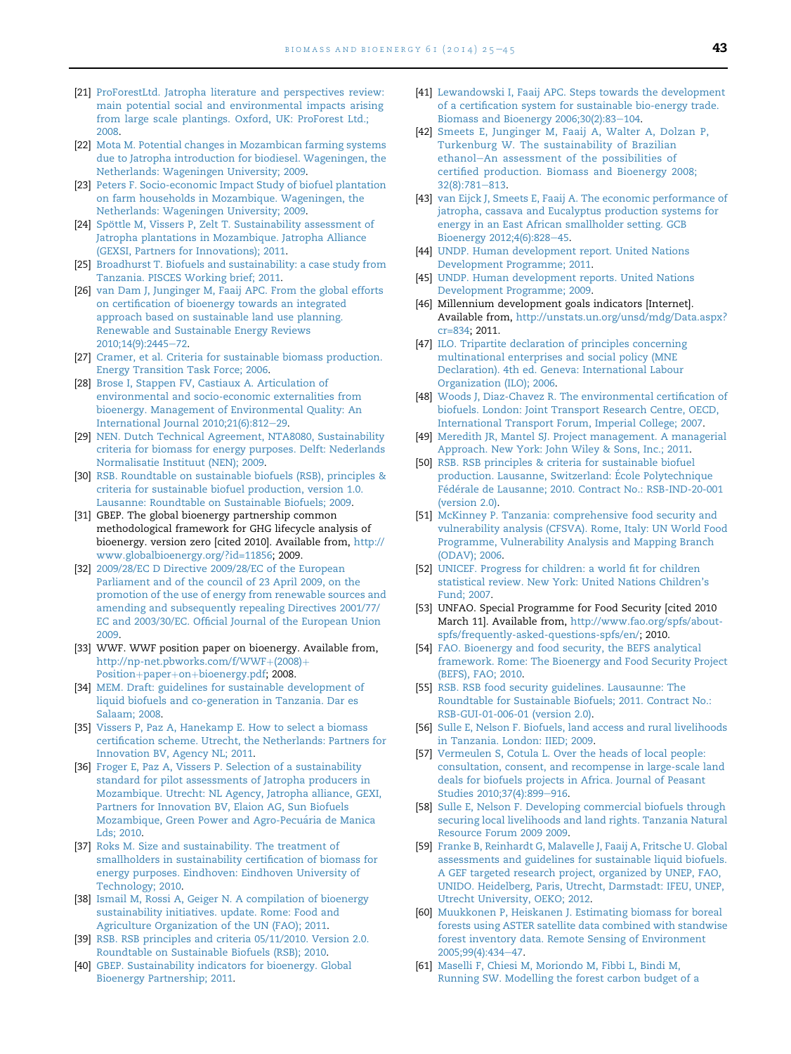- <span id="page-18-0"></span>[21] [ProForestLtd. Jatropha literature and perspectives review:](http://refhub.elsevier.com/S0961-9534(13)00427-3/sref21) [main potential social and environmental impacts arising](http://refhub.elsevier.com/S0961-9534(13)00427-3/sref21) [from large scale plantings. Oxford, UK: ProForest Ltd.;](http://refhub.elsevier.com/S0961-9534(13)00427-3/sref21) [2008](http://refhub.elsevier.com/S0961-9534(13)00427-3/sref21).
- [22] [Mota M. Potential changes in Mozambican farming systems](http://refhub.elsevier.com/S0961-9534(13)00427-3/sref22) [due to Jatropha introduction for biodiesel. Wageningen, the](http://refhub.elsevier.com/S0961-9534(13)00427-3/sref22) [Netherlands: Wageningen University; 2009](http://refhub.elsevier.com/S0961-9534(13)00427-3/sref22).
- [23] [Peters F. Socio-economic Impact Study of biofuel plantation](http://refhub.elsevier.com/S0961-9534(13)00427-3/sref23) [on farm households in Mozambique. Wageningen, the](http://refhub.elsevier.com/S0961-9534(13)00427-3/sref23) [Netherlands: Wageningen University; 2009](http://refhub.elsevier.com/S0961-9534(13)00427-3/sref23).
- [24] Spöttle M, Vissers P, Zelt T. Sustainability assessment of [Jatropha plantations in Mozambique. Jatropha Alliance](http://refhub.elsevier.com/S0961-9534(13)00427-3/sref24) [\(GEXSI, Partners for Innovations\); 2011](http://refhub.elsevier.com/S0961-9534(13)00427-3/sref24).
- [25] [Broadhurst T. Biofuels and sustainability: a case study from](http://refhub.elsevier.com/S0961-9534(13)00427-3/sref25) [Tanzania. PISCES Working brief; 2011](http://refhub.elsevier.com/S0961-9534(13)00427-3/sref25).
- [26] [van Dam J, Junginger M, Faaij APC. From the global efforts](http://refhub.elsevier.com/S0961-9534(13)00427-3/sref26) [on certification of bioenergy towards an integrated](http://refhub.elsevier.com/S0961-9534(13)00427-3/sref26) [approach based on sustainable land use planning.](http://refhub.elsevier.com/S0961-9534(13)00427-3/sref26) [Renewable and Sustainable Energy Reviews](http://refhub.elsevier.com/S0961-9534(13)00427-3/sref26) [2010;14\(9\):2445](http://refhub.elsevier.com/S0961-9534(13)00427-3/sref26)-[72.](http://refhub.elsevier.com/S0961-9534(13)00427-3/sref26)
- [27] [Cramer, et al. Criteria for sustainable biomass production.](http://refhub.elsevier.com/S0961-9534(13)00427-3/sref27) [Energy Transition Task Force; 2006.](http://refhub.elsevier.com/S0961-9534(13)00427-3/sref27)
- [28] [Brose I, Stappen FV, Castiaux A. Articulation of](http://refhub.elsevier.com/S0961-9534(13)00427-3/sref28) [environmental and socio-economic externalities from](http://refhub.elsevier.com/S0961-9534(13)00427-3/sref28) [bioenergy. Management of Environmental Quality: An](http://refhub.elsevier.com/S0961-9534(13)00427-3/sref28) International Journal  $2010;21(6):812-29$  $2010;21(6):812-29$ .
- [29] [NEN. Dutch Technical Agreement, NTA8080, Sustainability](http://refhub.elsevier.com/S0961-9534(13)00427-3/sref29) [criteria for biomass for energy purposes. Delft: Nederlands](http://refhub.elsevier.com/S0961-9534(13)00427-3/sref29) [Normalisatie Instituut \(NEN\); 2009.](http://refhub.elsevier.com/S0961-9534(13)00427-3/sref29)
- [30] [RSB. Roundtable on sustainable biofuels \(RSB\), principles &](http://refhub.elsevier.com/S0961-9534(13)00427-3/sref30) [criteria for sustainable biofuel production, version 1.0.](http://refhub.elsevier.com/S0961-9534(13)00427-3/sref30) [Lausanne: Roundtable on Sustainable Biofuels; 2009.](http://refhub.elsevier.com/S0961-9534(13)00427-3/sref30)
- [31] GBEP. The global bioenergy partnership common methodological framework for GHG lifecycle analysis of bioenergy. version zero [cited 2010]. Available from, [http://](http://www.globalbioenergy.org/?id=11856) [www.globalbioenergy.org/?id=11856](http://www.globalbioenergy.org/?id=11856); 2009.
- [32] [2009/28/EC D Directive 2009/28/EC of the European](http://refhub.elsevier.com/S0961-9534(13)00427-3/sref32) [Parliament and of the council of 23 April 2009, on the](http://refhub.elsevier.com/S0961-9534(13)00427-3/sref32) [promotion of the use of energy from renewable sources and](http://refhub.elsevier.com/S0961-9534(13)00427-3/sref32) [amending and subsequently repealing Directives 2001/77/](http://refhub.elsevier.com/S0961-9534(13)00427-3/sref32) [EC and 2003/30/EC. Official Journal of the European Union](http://refhub.elsevier.com/S0961-9534(13)00427-3/sref32) [2009](http://refhub.elsevier.com/S0961-9534(13)00427-3/sref32).
- [33] WWF. WWF position paper on bioenergy. Available from, [http://np-net.pbworks.com/f/WWF](http://np-net.pbworks.com/f/WWF+(2008)+Position+paper+on+bioenergy.pdf)+[\(2008\)](http://np-net.pbworks.com/f/WWF+(2008)+Position+paper+on+bioenergy.pdf)+ [Position](http://np-net.pbworks.com/f/WWF+(2008)+Position+paper+on+bioenergy.pdf)+[paper](http://np-net.pbworks.com/f/WWF+(2008)+Position+paper+on+bioenergy.pdf)+[on](http://np-net.pbworks.com/f/WWF+(2008)+Position+paper+on+bioenergy.pdf)+[bioenergy.pdf](http://np-net.pbworks.com/f/WWF+(2008)+Position+paper+on+bioenergy.pdf); 2008.
- [34] [MEM. Draft: guidelines for sustainable development of](http://refhub.elsevier.com/S0961-9534(13)00427-3/sref34) [liquid biofuels and co-generation in Tanzania. Dar es](http://refhub.elsevier.com/S0961-9534(13)00427-3/sref34) [Salaam; 2008.](http://refhub.elsevier.com/S0961-9534(13)00427-3/sref34)
- [35] [Vissers P, Paz A, Hanekamp E. How to select a biomass](http://refhub.elsevier.com/S0961-9534(13)00427-3/sref35) [certification scheme. Utrecht, the Netherlands: Partners for](http://refhub.elsevier.com/S0961-9534(13)00427-3/sref35) [Innovation BV, Agency NL; 2011.](http://refhub.elsevier.com/S0961-9534(13)00427-3/sref35)
- [36] [Froger E, Paz A, Vissers P. Selection of a sustainability](http://refhub.elsevier.com/S0961-9534(13)00427-3/sref36) [standard for pilot assessments of Jatropha producers in](http://refhub.elsevier.com/S0961-9534(13)00427-3/sref36) [Mozambique. Utrecht: NL Agency, Jatropha alliance, GEXI,](http://refhub.elsevier.com/S0961-9534(13)00427-3/sref36) [Partners for Innovation BV, Elaion AG, Sun Biofuels](http://refhub.elsevier.com/S0961-9534(13)00427-3/sref36) Mozambique, Green Power and Agro-Pecuária de Manica [Lds; 2010](http://refhub.elsevier.com/S0961-9534(13)00427-3/sref36).
- [37] [Roks M. Size and sustainability. The treatment of](http://refhub.elsevier.com/S0961-9534(13)00427-3/sref37) [smallholders in sustainability certification of biomass for](http://refhub.elsevier.com/S0961-9534(13)00427-3/sref37) [energy purposes. Eindhoven: Eindhoven University of](http://refhub.elsevier.com/S0961-9534(13)00427-3/sref37) [Technology; 2010.](http://refhub.elsevier.com/S0961-9534(13)00427-3/sref37)
- [38] [Ismail M, Rossi A, Geiger N. A compilation of bioenergy](http://refhub.elsevier.com/S0961-9534(13)00427-3/sref38) [sustainability initiatives. update. Rome: Food and](http://refhub.elsevier.com/S0961-9534(13)00427-3/sref38) [Agriculture Organization of the UN \(FAO\); 2011](http://refhub.elsevier.com/S0961-9534(13)00427-3/sref38).
- [39] [RSB. RSB principles and criteria 05/11/2010. Version 2.0.](http://refhub.elsevier.com/S0961-9534(13)00427-3/sref39) [Roundtable on Sustainable Biofuels \(RSB\); 2010.](http://refhub.elsevier.com/S0961-9534(13)00427-3/sref39)
- [40] [GBEP. Sustainability indicators for bioenergy. Global](http://refhub.elsevier.com/S0961-9534(13)00427-3/sref40) [Bioenergy Partnership; 2011](http://refhub.elsevier.com/S0961-9534(13)00427-3/sref40).
- [41] [Lewandowski I, Faaij APC. Steps towards the development](http://refhub.elsevier.com/S0961-9534(13)00427-3/sref41) [of a certification system for sustainable bio-energy trade.](http://refhub.elsevier.com/S0961-9534(13)00427-3/sref41) Biomass and Bioenergy  $2006;30(2):83-104$  $2006;30(2):83-104$ .
- [42] [Smeets E, Junginger M, Faaij A, Walter A, Dolzan P,](http://refhub.elsevier.com/S0961-9534(13)00427-3/sref42) [Turkenburg W. The sustainability of Brazilian](http://refhub.elsevier.com/S0961-9534(13)00427-3/sref42) [ethanol](http://refhub.elsevier.com/S0961-9534(13)00427-3/sref42)-[An assessment of the possibilities of](http://refhub.elsevier.com/S0961-9534(13)00427-3/sref42) [certified production. Biomass and Bioenergy 2008;](http://refhub.elsevier.com/S0961-9534(13)00427-3/sref42) [32\(8\):781](http://refhub.elsevier.com/S0961-9534(13)00427-3/sref42)-[813](http://refhub.elsevier.com/S0961-9534(13)00427-3/sref42).
- [43] [van Eijck J, Smeets E, Faaij A. The economic performance of](http://refhub.elsevier.com/S0961-9534(13)00427-3/sref43) [jatropha, cassava and Eucalyptus production systems for](http://refhub.elsevier.com/S0961-9534(13)00427-3/sref43) [energy in an East African smallholder setting. GCB](http://refhub.elsevier.com/S0961-9534(13)00427-3/sref43) [Bioenergy 2012;4\(6\):828](http://refhub.elsevier.com/S0961-9534(13)00427-3/sref43)-[45](http://refhub.elsevier.com/S0961-9534(13)00427-3/sref43).
- [44] [UNDP. Human development report. United Nations](http://refhub.elsevier.com/S0961-9534(13)00427-3/sref44) [Development Programme; 2011](http://refhub.elsevier.com/S0961-9534(13)00427-3/sref44).
- [45] [UNDP. Human development reports. United Nations](http://refhub.elsevier.com/S0961-9534(13)00427-3/sref45) [Development Programme; 2009](http://refhub.elsevier.com/S0961-9534(13)00427-3/sref45).
- [46] Millennium development goals indicators [Internet]. Available from, [http://unstats.un.org/unsd/mdg/Data.aspx?](http://unstats.un.org/unsd/mdg/Data.aspx?cr=834) [cr=834;](http://unstats.un.org/unsd/mdg/Data.aspx?cr=834) 2011.
- [47] [ILO. Tripartite declaration of principles concerning](http://refhub.elsevier.com/S0961-9534(13)00427-3/sref47) [multinational enterprises and social policy \(MNE](http://refhub.elsevier.com/S0961-9534(13)00427-3/sref47) [Declaration\). 4th ed. Geneva: International Labour](http://refhub.elsevier.com/S0961-9534(13)00427-3/sref47) [Organization \(ILO\); 2006.](http://refhub.elsevier.com/S0961-9534(13)00427-3/sref47)
- [48] [Woods J, Diaz-Chavez R. The environmental certification of](http://refhub.elsevier.com/S0961-9534(13)00427-3/sref48) [biofuels. London: Joint Transport Research Centre, OECD,](http://refhub.elsevier.com/S0961-9534(13)00427-3/sref48) [International Transport Forum, Imperial College; 2007](http://refhub.elsevier.com/S0961-9534(13)00427-3/sref48).
- [49] [Meredith JR, Mantel SJ. Project management. A managerial](http://refhub.elsevier.com/S0961-9534(13)00427-3/sref49) [Approach. New York: John Wiley & Sons, Inc.; 2011](http://refhub.elsevier.com/S0961-9534(13)00427-3/sref49).
- [50] [RSB. RSB principles & criteria for sustainable biofuel](http://refhub.elsevier.com/S0961-9534(13)00427-3/sref50) production. Lausanne, Switzerland: École Polytechnique Fédé[rale de Lausanne; 2010. Contract No.: RSB-IND-20-001](http://refhub.elsevier.com/S0961-9534(13)00427-3/sref50) [\(version 2.0\)](http://refhub.elsevier.com/S0961-9534(13)00427-3/sref50).
- [51] [McKinney P. Tanzania: comprehensive food security and](http://refhub.elsevier.com/S0961-9534(13)00427-3/sref51) [vulnerability analysis \(CFSVA\). Rome, Italy: UN World Food](http://refhub.elsevier.com/S0961-9534(13)00427-3/sref51) [Programme, Vulnerability Analysis and Mapping Branch](http://refhub.elsevier.com/S0961-9534(13)00427-3/sref51) [\(ODAV\); 2006.](http://refhub.elsevier.com/S0961-9534(13)00427-3/sref51)
- [52] [UNICEF. Progress for children: a world fit for children](http://refhub.elsevier.com/S0961-9534(13)00427-3/sref52) [statistical review. New York: United Nations Children's](http://refhub.elsevier.com/S0961-9534(13)00427-3/sref52) [Fund; 2007.](http://refhub.elsevier.com/S0961-9534(13)00427-3/sref52)
- [53] UNFAO. Special Programme for Food Security [cited 2010 March 11]. Available from, [http://www.fao.org/spfs/about](http://www.fao.org/spfs/about-spfs/frequently-asked-questions-spfs/en/)[spfs/frequently-asked-questions-spfs/en/;](http://www.fao.org/spfs/about-spfs/frequently-asked-questions-spfs/en/) 2010.
- [54] [FAO. Bioenergy and food security, the BEFS analytical](http://refhub.elsevier.com/S0961-9534(13)00427-3/sref54) [framework. Rome: The Bioenergy and Food Security Project](http://refhub.elsevier.com/S0961-9534(13)00427-3/sref54) [\(BEFS\), FAO; 2010](http://refhub.elsevier.com/S0961-9534(13)00427-3/sref54).
- [55] [RSB. RSB food security guidelines. Lausaunne: The](http://refhub.elsevier.com/S0961-9534(13)00427-3/sref55) [Roundtable for Sustainable Biofuels; 2011. Contract No.:](http://refhub.elsevier.com/S0961-9534(13)00427-3/sref55) [RSB-GUI-01-006-01 \(version 2.0\)](http://refhub.elsevier.com/S0961-9534(13)00427-3/sref55).
- [56] [Sulle E, Nelson F. Biofuels, land access and rural livelihoods](http://refhub.elsevier.com/S0961-9534(13)00427-3/sref56) [in Tanzania. London: IIED; 2009.](http://refhub.elsevier.com/S0961-9534(13)00427-3/sref56)
- [57] [Vermeulen S, Cotula L. Over the heads of local people:](http://refhub.elsevier.com/S0961-9534(13)00427-3/sref57) [consultation, consent, and recompense in large-scale land](http://refhub.elsevier.com/S0961-9534(13)00427-3/sref57) [deals for biofuels projects in Africa. Journal of Peasant](http://refhub.elsevier.com/S0961-9534(13)00427-3/sref57) [Studies 2010;37\(4\):899](http://refhub.elsevier.com/S0961-9534(13)00427-3/sref57)-[916.](http://refhub.elsevier.com/S0961-9534(13)00427-3/sref57)
- [58] [Sulle E, Nelson F. Developing commercial biofuels through](http://refhub.elsevier.com/S0961-9534(13)00427-3/sref58) [securing local livelihoods and land rights. Tanzania Natural](http://refhub.elsevier.com/S0961-9534(13)00427-3/sref58) [Resource Forum 2009 2009.](http://refhub.elsevier.com/S0961-9534(13)00427-3/sref58)
- [59] [Franke B, Reinhardt G, Malavelle J, Faaij A, Fritsche U. Global](http://refhub.elsevier.com/S0961-9534(13)00427-3/sref59) [assessments and guidelines for sustainable liquid biofuels.](http://refhub.elsevier.com/S0961-9534(13)00427-3/sref59) [A GEF targeted research project, organized by UNEP, FAO,](http://refhub.elsevier.com/S0961-9534(13)00427-3/sref59) [UNIDO. Heidelberg, Paris, Utrecht, Darmstadt: IFEU, UNEP,](http://refhub.elsevier.com/S0961-9534(13)00427-3/sref59) [Utrecht University, OEKO; 2012](http://refhub.elsevier.com/S0961-9534(13)00427-3/sref59).
- [60] [Muukkonen P, Heiskanen J. Estimating biomass for boreal](http://refhub.elsevier.com/S0961-9534(13)00427-3/sref60) [forests using ASTER satellite data combined with standwise](http://refhub.elsevier.com/S0961-9534(13)00427-3/sref60) [forest inventory data. Remote Sensing of Environment](http://refhub.elsevier.com/S0961-9534(13)00427-3/sref60) [2005;99\(4\):434](http://refhub.elsevier.com/S0961-9534(13)00427-3/sref60)-[47.](http://refhub.elsevier.com/S0961-9534(13)00427-3/sref60)
- [61] [Maselli F, Chiesi M, Moriondo M, Fibbi L, Bindi M,](http://refhub.elsevier.com/S0961-9534(13)00427-3/sref61) [Running SW. Modelling the forest carbon budget of a](http://refhub.elsevier.com/S0961-9534(13)00427-3/sref61)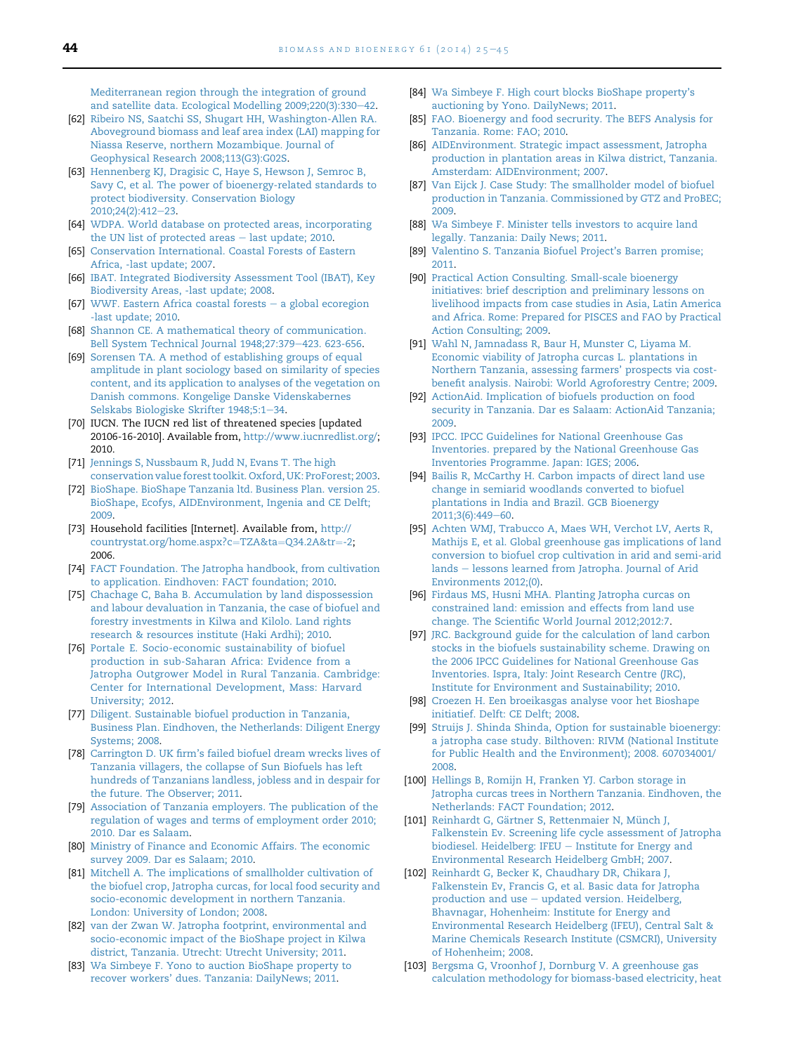<span id="page-19-0"></span>[Mediterranean region through the integration of ground](http://refhub.elsevier.com/S0961-9534(13)00427-3/sref61) [and satellite data. Ecological Modelling 2009;220\(3\):330](http://refhub.elsevier.com/S0961-9534(13)00427-3/sref61)-[42.](http://refhub.elsevier.com/S0961-9534(13)00427-3/sref61)

- [62] [Ribeiro NS, Saatchi SS, Shugart HH, Washington-Allen RA.](http://refhub.elsevier.com/S0961-9534(13)00427-3/sref62) [Aboveground biomass and leaf area index \(LAI\) mapping for](http://refhub.elsevier.com/S0961-9534(13)00427-3/sref62) [Niassa Reserve, northern Mozambique. Journal of](http://refhub.elsevier.com/S0961-9534(13)00427-3/sref62) [Geophysical Research 2008;113\(G3\):G02S](http://refhub.elsevier.com/S0961-9534(13)00427-3/sref62).
- [63] [Hennenberg KJ, Dragisic C, Haye S, Hewson J, Semroc B,](http://refhub.elsevier.com/S0961-9534(13)00427-3/sref63) [Savy C, et al. The power of bioenergy-related standards to](http://refhub.elsevier.com/S0961-9534(13)00427-3/sref63) [protect biodiversity. Conservation Biology](http://refhub.elsevier.com/S0961-9534(13)00427-3/sref63) [2010;24\(2\):412](http://refhub.elsevier.com/S0961-9534(13)00427-3/sref63)-[23](http://refhub.elsevier.com/S0961-9534(13)00427-3/sref63).
- [64] [WDPA. World database on protected areas, incorporating](http://refhub.elsevier.com/S0961-9534(13)00427-3/sref64) [the UN list of protected areas](http://refhub.elsevier.com/S0961-9534(13)00427-3/sref64)  $-$  [last update; 2010](http://refhub.elsevier.com/S0961-9534(13)00427-3/sref64).
- [65] [Conservation International. Coastal Forests of Eastern](http://refhub.elsevier.com/S0961-9534(13)00427-3/sref65) [Africa, -last update; 2007](http://refhub.elsevier.com/S0961-9534(13)00427-3/sref65).
- [66] [IBAT. Integrated Biodiversity Assessment Tool \(IBAT\), Key](http://refhub.elsevier.com/S0961-9534(13)00427-3/sref66) [Biodiversity Areas, -last update; 2008.](http://refhub.elsevier.com/S0961-9534(13)00427-3/sref66)
- [67] [WWF. Eastern Africa coastal forests](http://refhub.elsevier.com/S0961-9534(13)00427-3/sref67)  $-$  [a global ecoregion](http://refhub.elsevier.com/S0961-9534(13)00427-3/sref67) [-last update; 2010.](http://refhub.elsevier.com/S0961-9534(13)00427-3/sref67)
- [68] [Shannon CE. A mathematical theory of communication.](http://refhub.elsevier.com/S0961-9534(13)00427-3/sref68) [Bell System Technical Journal 1948;27:379](http://refhub.elsevier.com/S0961-9534(13)00427-3/sref68)-[423. 623-656.](http://refhub.elsevier.com/S0961-9534(13)00427-3/sref68)
- [69] [Sorensen TA. A method of establishing groups of equal](http://refhub.elsevier.com/S0961-9534(13)00427-3/sref69) [amplitude in plant sociology based on similarity of species](http://refhub.elsevier.com/S0961-9534(13)00427-3/sref69) [content, and its application to analyses of the vegetation on](http://refhub.elsevier.com/S0961-9534(13)00427-3/sref69) [Danish commons. Kongelige Danske Videnskabernes](http://refhub.elsevier.com/S0961-9534(13)00427-3/sref69) [Selskabs Biologiske Skrifter 1948;5:1](http://refhub.elsevier.com/S0961-9534(13)00427-3/sref69)-[34](http://refhub.elsevier.com/S0961-9534(13)00427-3/sref69).
- [70] IUCN. The IUCN red list of threatened species [updated 20106-16-2010]. Available from, <http://www.iucnredlist.org/>; 2010.
- [71] [Jennings S, Nussbaum R, Judd N, Evans T. The high](http://refhub.elsevier.com/S0961-9534(13)00427-3/sref71) [conservation value forest toolkit. Oxford, UK: ProForest; 2003](http://refhub.elsevier.com/S0961-9534(13)00427-3/sref71).
- [72] [BioShape. BioShape Tanzania ltd. Business Plan. version 25.](http://refhub.elsevier.com/S0961-9534(13)00427-3/sref72) [BioShape, Ecofys, AIDEnvironment, Ingenia and CE Delft;](http://refhub.elsevier.com/S0961-9534(13)00427-3/sref72) [2009.](http://refhub.elsevier.com/S0961-9534(13)00427-3/sref72)
- [73] Household facilities [Internet]. Available from, [http://](http://countrystat.org/home.aspx?c=TZA&ta=Q34.2A&tr=-2) [countrystat.org/home.aspx?c](http://countrystat.org/home.aspx?c=TZA&ta=Q34.2A&tr=-2)=[TZA&ta](http://countrystat.org/home.aspx?c=TZA&ta=Q34.2A&tr=-2)=[Q34.2A&tr](http://countrystat.org/home.aspx?c=TZA&ta=Q34.2A&tr=-2)=[-2](http://countrystat.org/home.aspx?c=TZA&ta=Q34.2A&tr=-2); 2006.
- [74] [FACT Foundation. The Jatropha handbook, from cultivation](http://refhub.elsevier.com/S0961-9534(13)00427-3/sref74) [to application. Eindhoven: FACT foundation; 2010](http://refhub.elsevier.com/S0961-9534(13)00427-3/sref74).
- [75] [Chachage C, Baha B. Accumulation by land dispossession](http://refhub.elsevier.com/S0961-9534(13)00427-3/sref75) [and labour devaluation in Tanzania, the case of biofuel and](http://refhub.elsevier.com/S0961-9534(13)00427-3/sref75) [forestry investments in Kilwa and Kilolo. Land rights](http://refhub.elsevier.com/S0961-9534(13)00427-3/sref75) [research & resources institute \(Haki Ardhi\); 2010.](http://refhub.elsevier.com/S0961-9534(13)00427-3/sref75)
- [76] [Portale E. Socio-economic sustainability of biofuel](http://refhub.elsevier.com/S0961-9534(13)00427-3/sref76) [production in sub-Saharan Africa: Evidence from a](http://refhub.elsevier.com/S0961-9534(13)00427-3/sref76) [Jatropha Outgrower Model in Rural Tanzania. Cambridge:](http://refhub.elsevier.com/S0961-9534(13)00427-3/sref76) [Center for International Development, Mass: Harvard](http://refhub.elsevier.com/S0961-9534(13)00427-3/sref76) [University; 2012.](http://refhub.elsevier.com/S0961-9534(13)00427-3/sref76)
- [77] [Diligent. Sustainable biofuel production in Tanzania,](http://refhub.elsevier.com/S0961-9534(13)00427-3/sref77) [Business Plan. Eindhoven, the Netherlands: Diligent Energy](http://refhub.elsevier.com/S0961-9534(13)00427-3/sref77) [Systems; 2008.](http://refhub.elsevier.com/S0961-9534(13)00427-3/sref77)
- [78] [Carrington D. UK firm's failed biofuel dream wrecks lives of](http://refhub.elsevier.com/S0961-9534(13)00427-3/sref78) [Tanzania villagers, the collapse of Sun Biofuels has left](http://refhub.elsevier.com/S0961-9534(13)00427-3/sref78) [hundreds of Tanzanians landless, jobless and in despair for](http://refhub.elsevier.com/S0961-9534(13)00427-3/sref78) [the future. The Observer; 2011](http://refhub.elsevier.com/S0961-9534(13)00427-3/sref78).
- [79] [Association of Tanzania employers. The publication of the](http://refhub.elsevier.com/S0961-9534(13)00427-3/sref79) [regulation of wages and terms of employment order 2010;](http://refhub.elsevier.com/S0961-9534(13)00427-3/sref79) [2010. Dar es Salaam](http://refhub.elsevier.com/S0961-9534(13)00427-3/sref79).
- [80] [Ministry of Finance and Economic Affairs. The economic](http://refhub.elsevier.com/S0961-9534(13)00427-3/sref80) [survey 2009. Dar es Salaam; 2010](http://refhub.elsevier.com/S0961-9534(13)00427-3/sref80).
- [81] [Mitchell A. The implications of smallholder cultivation of](http://refhub.elsevier.com/S0961-9534(13)00427-3/sref81) [the biofuel crop, Jatropha curcas, for local food security and](http://refhub.elsevier.com/S0961-9534(13)00427-3/sref81) [socio-economic development in northern Tanzania.](http://refhub.elsevier.com/S0961-9534(13)00427-3/sref81) [London: University of London; 2008](http://refhub.elsevier.com/S0961-9534(13)00427-3/sref81).
- [82] [van der Zwan W. Jatropha footprint, environmental and](http://refhub.elsevier.com/S0961-9534(13)00427-3/sref82) [socio-economic impact of the BioShape project in Kilwa](http://refhub.elsevier.com/S0961-9534(13)00427-3/sref82) [district, Tanzania. Utrecht: Utrecht University; 2011.](http://refhub.elsevier.com/S0961-9534(13)00427-3/sref82)
- [83] [Wa Simbeye F. Yono to auction BioShape property to](http://refhub.elsevier.com/S0961-9534(13)00427-3/sref83) [recover workers' dues. Tanzania: DailyNews; 2011](http://refhub.elsevier.com/S0961-9534(13)00427-3/sref83).
- [84] [Wa Simbeye F. High court blocks BioShape property's](http://refhub.elsevier.com/S0961-9534(13)00427-3/sref84) [auctioning by Yono. DailyNews; 2011](http://refhub.elsevier.com/S0961-9534(13)00427-3/sref84).
- [85] [FAO. Bioenergy and food secrurity. The BEFS Analysis for](http://refhub.elsevier.com/S0961-9534(13)00427-3/sref85) [Tanzania. Rome: FAO; 2010.](http://refhub.elsevier.com/S0961-9534(13)00427-3/sref85)
- [86] [AIDEnvironment. Strategic impact assessment, Jatropha](http://refhub.elsevier.com/S0961-9534(13)00427-3/sref86) [production in plantation areas in Kilwa district, Tanzania.](http://refhub.elsevier.com/S0961-9534(13)00427-3/sref86) [Amsterdam: AIDEnvironment; 2007.](http://refhub.elsevier.com/S0961-9534(13)00427-3/sref86)
- [87] [Van Eijck J. Case Study: The smallholder model of biofuel](http://refhub.elsevier.com/S0961-9534(13)00427-3/sref87) [production in Tanzania. Commissioned by GTZ and ProBEC;](http://refhub.elsevier.com/S0961-9534(13)00427-3/sref87) [2009.](http://refhub.elsevier.com/S0961-9534(13)00427-3/sref87)
- [88] [Wa Simbeye F. Minister tells investors to acquire land](http://refhub.elsevier.com/S0961-9534(13)00427-3/sref88) [legally. Tanzania: Daily News; 2011](http://refhub.elsevier.com/S0961-9534(13)00427-3/sref88).
- [89] [Valentino S. Tanzania Biofuel Project's Barren promise;](http://refhub.elsevier.com/S0961-9534(13)00427-3/sref89) [2011.](http://refhub.elsevier.com/S0961-9534(13)00427-3/sref89)
- [90] [Practical Action Consulting. Small-scale bioenergy](http://refhub.elsevier.com/S0961-9534(13)00427-3/sref90) [initiatives: brief description and preliminary lessons on](http://refhub.elsevier.com/S0961-9534(13)00427-3/sref90) [livelihood impacts from case studies in Asia, Latin America](http://refhub.elsevier.com/S0961-9534(13)00427-3/sref90) [and Africa. Rome: Prepared for PISCES and FAO by Practical](http://refhub.elsevier.com/S0961-9534(13)00427-3/sref90) [Action Consulting; 2009.](http://refhub.elsevier.com/S0961-9534(13)00427-3/sref90)
- [91] [Wahl N, Jamnadass R, Baur H, Munster C, Liyama M.](http://refhub.elsevier.com/S0961-9534(13)00427-3/sref91) [Economic viability of Jatropha curcas L. plantations in](http://refhub.elsevier.com/S0961-9534(13)00427-3/sref91) [Northern Tanzania, assessing farmers' prospects via cost](http://refhub.elsevier.com/S0961-9534(13)00427-3/sref91)[benefit analysis. Nairobi: World Agroforestry Centre; 2009](http://refhub.elsevier.com/S0961-9534(13)00427-3/sref91).
- [92] [ActionAid. Implication of biofuels production on food](http://refhub.elsevier.com/S0961-9534(13)00427-3/sref92) [security in Tanzania. Dar es Salaam: ActionAid Tanzania;](http://refhub.elsevier.com/S0961-9534(13)00427-3/sref92) [2009.](http://refhub.elsevier.com/S0961-9534(13)00427-3/sref92)
- [93] [IPCC. IPCC Guidelines for National Greenhouse Gas](http://refhub.elsevier.com/S0961-9534(13)00427-3/sref93) [Inventories. prepared by the National Greenhouse Gas](http://refhub.elsevier.com/S0961-9534(13)00427-3/sref93) [Inventories Programme. Japan: IGES; 2006](http://refhub.elsevier.com/S0961-9534(13)00427-3/sref93).
- [94] [Bailis R, McCarthy H. Carbon impacts of direct land use](http://refhub.elsevier.com/S0961-9534(13)00427-3/sref94) [change in semiarid woodlands converted to biofuel](http://refhub.elsevier.com/S0961-9534(13)00427-3/sref94) [plantations in India and Brazil. GCB Bioenergy](http://refhub.elsevier.com/S0961-9534(13)00427-3/sref94) [2011;3\(6\):449](http://refhub.elsevier.com/S0961-9534(13)00427-3/sref94)-[60](http://refhub.elsevier.com/S0961-9534(13)00427-3/sref94).
- [95] [Achten WMJ, Trabucco A, Maes WH, Verchot LV, Aerts R,](http://refhub.elsevier.com/S0961-9534(13)00427-3/sref95) [Mathijs E, et al. Global greenhouse gas implications of land](http://refhub.elsevier.com/S0961-9534(13)00427-3/sref95) [conversion to biofuel crop cultivation in arid and semi-arid](http://refhub.elsevier.com/S0961-9534(13)00427-3/sref95) [lands](http://refhub.elsevier.com/S0961-9534(13)00427-3/sref95) - [lessons learned from Jatropha. Journal of Arid](http://refhub.elsevier.com/S0961-9534(13)00427-3/sref95) [Environments 2012;\(0\).](http://refhub.elsevier.com/S0961-9534(13)00427-3/sref95)
- [96] [Firdaus MS, Husni MHA. Planting Jatropha curcas on](http://refhub.elsevier.com/S0961-9534(13)00427-3/sref96) [constrained land: emission and effects from land use](http://refhub.elsevier.com/S0961-9534(13)00427-3/sref96) [change. The Scientific World Journal 2012;2012:7](http://refhub.elsevier.com/S0961-9534(13)00427-3/sref96).
- [97] [JRC. Background guide for the calculation of land carbon](http://refhub.elsevier.com/S0961-9534(13)00427-3/sref97) [stocks in the biofuels sustainability scheme. Drawing on](http://refhub.elsevier.com/S0961-9534(13)00427-3/sref97) [the 2006 IPCC Guidelines for National Greenhouse Gas](http://refhub.elsevier.com/S0961-9534(13)00427-3/sref97) [Inventories. Ispra, Italy: Joint Research Centre \(JRC\),](http://refhub.elsevier.com/S0961-9534(13)00427-3/sref97) [Institute for Environment and Sustainability; 2010](http://refhub.elsevier.com/S0961-9534(13)00427-3/sref97).
- [98] [Croezen H. Een broeikasgas analyse voor het Bioshape](http://refhub.elsevier.com/S0961-9534(13)00427-3/sref98) [initiatief. Delft: CE Delft; 2008](http://refhub.elsevier.com/S0961-9534(13)00427-3/sref98).
- [99] [Struijs J. Shinda Shinda, Option for sustainable bioenergy:](http://refhub.elsevier.com/S0961-9534(13)00427-3/sref99) [a jatropha case study. Bilthoven: RIVM \(National Institute](http://refhub.elsevier.com/S0961-9534(13)00427-3/sref99) [for Public Health and the Environment\); 2008. 607034001/](http://refhub.elsevier.com/S0961-9534(13)00427-3/sref99) [2008.](http://refhub.elsevier.com/S0961-9534(13)00427-3/sref99)
- [100] [Hellings B, Romijn H, Franken YJ. Carbon storage in](http://refhub.elsevier.com/S0961-9534(13)00427-3/sref100) [Jatropha curcas trees in Northern Tanzania. Eindhoven, the](http://refhub.elsevier.com/S0961-9534(13)00427-3/sref100) [Netherlands: FACT Foundation; 2012.](http://refhub.elsevier.com/S0961-9534(13)00427-3/sref100)
- [101] Reinhardt G, Gärtner S, Rettenmaier N, Münch J, [Falkenstein Ev. Screening life cycle assessment of Jatropha](http://refhub.elsevier.com/S0961-9534(13)00427-3/sref101) [biodiesel. Heidelberg: IFEU](http://refhub.elsevier.com/S0961-9534(13)00427-3/sref101)  $-$  [Institute for Energy and](http://refhub.elsevier.com/S0961-9534(13)00427-3/sref101) [Environmental Research Heidelberg GmbH; 2007](http://refhub.elsevier.com/S0961-9534(13)00427-3/sref101).
- [102] [Reinhardt G, Becker K, Chaudhary DR, Chikara J,](http://refhub.elsevier.com/S0961-9534(13)00427-3/sref102) [Falkenstein Ev, Francis G, et al. Basic data for Jatropha](http://refhub.elsevier.com/S0961-9534(13)00427-3/sref102) [production and use](http://refhub.elsevier.com/S0961-9534(13)00427-3/sref102)  $-$  [updated version. Heidelberg,](http://refhub.elsevier.com/S0961-9534(13)00427-3/sref102) [Bhavnagar, Hohenheim: Institute for Energy and](http://refhub.elsevier.com/S0961-9534(13)00427-3/sref102) [Environmental Research Heidelberg \(IFEU\), Central Salt &](http://refhub.elsevier.com/S0961-9534(13)00427-3/sref102) [Marine Chemicals Research Institute \(CSMCRI\), University](http://refhub.elsevier.com/S0961-9534(13)00427-3/sref102) [of Hohenheim; 2008.](http://refhub.elsevier.com/S0961-9534(13)00427-3/sref102)
- [103] [Bergsma G, Vroonhof J, Dornburg V. A greenhouse gas](http://refhub.elsevier.com/S0961-9534(13)00427-3/sref103) [calculation methodology for biomass-based electricity, heat](http://refhub.elsevier.com/S0961-9534(13)00427-3/sref103)